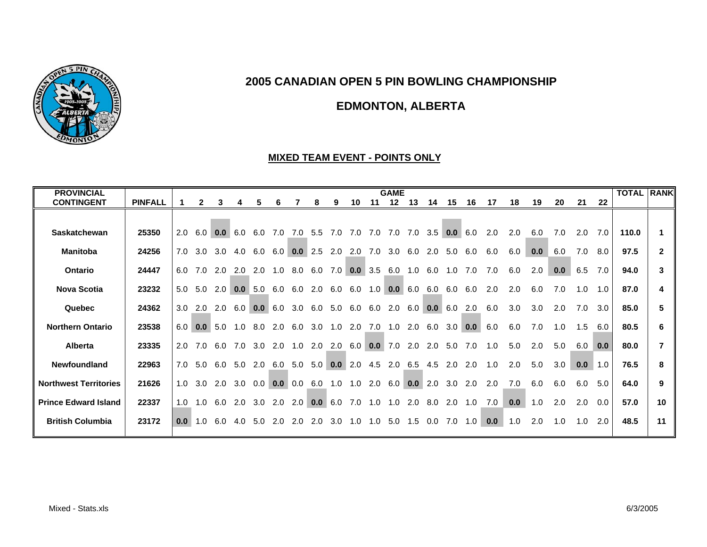

# **EDMONTON, ALBERTA**

#### **MIXED TEAM EVENT - POINTS ONLY**

| <b>PROVINCIAL</b>            |                |                  |     |     |     |                |              |           |     |                 |                                |     | <b>GAME</b> |                |     |                |     |     |     |     |     |     |     | <b>TOTAL RANK</b> |              |
|------------------------------|----------------|------------------|-----|-----|-----|----------------|--------------|-----------|-----|-----------------|--------------------------------|-----|-------------|----------------|-----|----------------|-----|-----|-----|-----|-----|-----|-----|-------------------|--------------|
| <b>CONTINGENT</b>            | <b>PINFALL</b> |                  | 2   | 3   |     | 5              | 6            |           | 8   | 9               | 10                             | 11  | 12          | 13             | 14  | 15             | 16  | 17  | 18  | 19  | 20  | 21  | 22  |                   |              |
|                              |                |                  |     |     |     |                |              |           |     |                 |                                |     |             |                |     |                |     |     |     |     |     |     |     |                   |              |
| Saskatchewan                 | 25350          | 2.0              | 6.0 | 0.0 | 6.0 | 6.0            | 7.0          | 7.0       | 5.5 | 7.0             | 7.0                            | 7.0 | 7.0         | 7.0            |     | $3.5$ 0.0      | 6.0 | 2.0 | 2.0 | 6.0 | 7.0 | 2.0 | 7.0 | 110.0             |              |
| <b>Manitoba</b>              | 24256          | 7.0              | 3.0 | 3.0 | 4.0 | 6.0            | 6.0          | 0.0       | 2.5 | 2.0             | 2.0                            | 7.0 |             | $3.0\quad 6.0$ | 2.0 | 5.0            | 6.0 | 6.0 | 6.0 | 0.0 | 6.0 | 7.0 | 8.0 | 97.5              | $\mathbf{2}$ |
| Ontario                      | 24447          | 6.0              | 7.0 | 2.0 | 2.0 |                | $2.0$ 1.0    | 8.0       | 6.0 |                 | $7.0$ 0.0 3.5                  |     | 6.0         | 1.0            | 6.0 | 1.0            | 7.0 | 7.0 | 6.0 | 2.0 | 0.0 | 6.5 | 7.0 | 94.0              | 3            |
| <b>Nova Scotia</b>           | 23232          | 5.0              | 5.0 | 2.0 | 0.0 | 5.0            | 6.0          | 6.0       | 2.0 | 6.0             | 6.0                            | 1.0 |             | 0.0 6.0        | 6.0 | 6.0            | 6.0 | 2.0 | 2.0 | 6.0 | 7.0 | 1.0 | 1.0 | 87.0              | 4            |
| Quebec                       | 24362          | 3.0              | 2.0 | 2.0 | 6.0 | 0.0            | 6.0          | 3.0       | 6.0 | 5.0             | 6.0                            | 6.0 | 2.0         | 6.0            | 0.0 | 6.0            | 2.0 | 6.0 | 3.0 | 3.0 | 2.0 | 7.0 | 3.0 | 85.0              | 5.           |
| <b>Northern Ontario</b>      | 23538          | 6.0              | 0.0 | 5.0 | 1.0 | 8.0            | 2.0          | 6.0       |     | $3.0 \quad 1.0$ | 2.0                            |     | 7.0 1.0 2.0 |                | 6.0 | 3.0            | 0.0 | 6.0 | 6.0 | 7.0 | 1.0 | 1.5 | 6.0 | 80.5              | 6            |
| <b>Alberta</b>               | 23335          | 2.0              | 7.0 | 6.0 |     | $7.0\quad 3.0$ |              | $2.0$ 1.0 |     |                 | 2.0 2.0 6.0 <b>0.0</b> 7.0 2.0 |     |             |                |     | $2.0\quad 5.0$ | 7.0 | 1.0 | 5.0 | 2.0 | 5.0 | 6.0 | 0.0 | 80.0              |              |
| Newfoundland                 | 22963          | 7.0              | 5.0 | 6.0 |     | 5.0 2.0        | 6.0          | 5.0       |     |                 | $5.0$ 0.0 2.0 4.5 2.0 6.5      |     |             |                |     | 4.5 2.0        | 2.0 | 1.0 | 2.0 | 5.0 | 3.0 | 0.0 | 1.0 | 76.5              | 8            |
| <b>Northwest Territories</b> | 21626          | 1.0              | 3.0 | 2.0 | 3.0 |                | $0.0 \, 0.0$ | 0.0       | 6.0 | 1.0             | 1.0                            | 2.0 | 6.0         | 0.0            | 2.0 | 3.0            | 2.0 | 2.0 | 7.0 | 6.0 | 6.0 | 6.0 | 5.0 | 64.0              | 9            |
| <b>Prince Edward Island</b>  | 22337          | 1.0              | 1.0 | 6.0 | 2.0 | 3.0            | 2.0          | 2.0       | 0.0 | 6.0             | 7.0                            | 1.0 |             | $1.0$ 2.0      |     | 8.0 2.0 1.0    |     | 7.0 | 0.0 | 1.0 | 2.0 | 2.0 | 0.0 | 57.0              | 10           |
| <b>British Columbia</b>      | 23172          | 0.0 <sub>1</sub> | 1.0 | 6.0 | 4.0 | 5.0            | 2.0          | 2.0       | 2.0 | 3.0             | 1.0                            | 1.0 | 5.0         | 1.5            | 0.0 | 7.0            | 1.0 | 0.0 | 1.0 | 2.0 | 1.0 | 1.0 | 2.0 | 48.5              | 11           |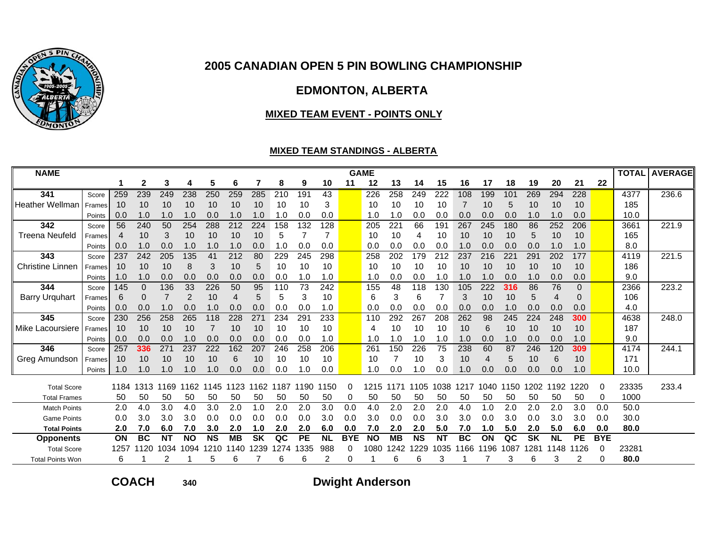

# **EDMONTON, ALBERTA**

#### **MIXED TEAM EVENT - POINTS ONLY**

### **MIXED TEAM STANDINGS - ALBERTA**

| <b>NAME</b>             |        |      |              |           |                |           |           |           |      |           |           |            | <b>GAME</b>  |           |           |           |           |      |      |           |           |           |            |       | <b>TOTAL AVERAGE</b> |
|-------------------------|--------|------|--------------|-----------|----------------|-----------|-----------|-----------|------|-----------|-----------|------------|--------------|-----------|-----------|-----------|-----------|------|------|-----------|-----------|-----------|------------|-------|----------------------|
|                         |        |      | $\mathbf{2}$ | 3         | 4              | 5         | 6         | 7         | 8    | 9         | 10        | 11         | 12           | 13        | 14        | 15        | 16        | 17   | 18   | 19        | 20        | 21        | 22         |       |                      |
| 341                     | Score  | 259  | 239          | 249       | 238            | 250       | 259       | 285       | 210  | 191       | 43        |            | 226          | 258       | 249       | 222       | 108       | 199  | 101  | 269       | 294       | 228       |            | 4377  | 236.6                |
| <b>Heather Wellman</b>  | Frames | 10   | 10           | 10        | 10             | 10        | 10        | 10        | 10   | 10        | 3         |            | 10           | 10        | 10        | 10        | 7         | 10   | 5    | 10        | 10        | 10        |            | 185   |                      |
|                         | Points | 0.0  | 1.0          | 1.0       | 1.0            | 0.0       | 1.0       | 1.0       | 1.0  | 0.0       | 0.0       |            | 1.0          | 1.0       | 0.0       | 0.0       | 0.0       | 0.0  | 0.0  | 1.0       | 1.0       | 0.0       |            | 10.0  |                      |
| 342                     | Score  | 56   | 240          | 50        | 254            | 288       | 212       | 224       | 158  | 132       | 128       |            | 205          | 22'       | 66        | 191       | 267       | 245  | 180  | 86        | 252       | 206       |            | 3661  | 221.9                |
| <b>Treena Neufeld</b>   | Frames | 4    | 10           | 3         | 10             | 10        | 10        | 10        | 5    |           | 7         |            | 10           | 10        | 4         | 10        | 10        | 10   | 10   | 5         | 10        | 10        |            | 165   |                      |
|                         | Points | 0.0  | 1.0          | 0.0       | 1.0            | 1.0       | 1.0       | 0.0       | 1.0  | 0.0       | 0.0       |            | 0.0          | 0.0       | 0.0       | 0.0       | 1.0       | 0.0  | 0.0  | 0.0       | 1.0       | 1.0       |            | 8.0   |                      |
| 343                     | Score  | 237  | 242          | 205       | 135            | 41        | 212       | 80        | 229  | 245       | 298       |            | 258          | 202       | 179       | 212       | 237       | 216  | 221  | 291       | 202       | 177       |            | 4119  | 221.5                |
| <b>Christine Linnen</b> | Frames | 10   | 10           | 10        | 8              | 3         | 10        | 5         | 10   | 10        | 10        |            | 10           | 10        | 10        | 10        | 10        | 10   | 10   | 10        | 10        | 10        |            | 186   |                      |
|                         | Points | 1.0  | 1.0          | 0.0       | 0.0            | 0.0       | 0.0       | 0.0       | 0.0  | 1.0       | 1.0       |            | 1.0          | 0.0       | 0.0       | 1.0       | 1.0       | 1.0  | 0.0  | 1.0       | 0.0       | 0.0       |            | 9.0   |                      |
| 344                     | Score  | 145  | $\Omega$     | 136       | 33             | 226       | 50        | 95        | 110  | 73        | 242       |            | 155          | 48        | 118       | 130       | 105       | 222  | 316  | 86        | 76        | $\Omega$  |            | 2366  | 223.2                |
| <b>Barry Urquhart</b>   | Frames | 6    | 0            | 7         | $\overline{2}$ | 10        | 4         | 5         | 5    | 3         | 10        |            | 6            | 3         | 6         |           | 3         | 10   | 10   | 5         | 4         | $\Omega$  |            | 106   |                      |
|                         | Points | 0.0  | 0.0          | 1.0       | 0.0            | 1.0       | 0.0       | 0.0       | 0.0  | 0.0       | 1.0       |            | 0.0          | 0.0       | 0.0       | 0.0       | 0.0       | 0.0  | 1.0  | 0.0       | 0.0       | 0.0       |            | 4.0   |                      |
| 345                     | Score  | 230  | 256          | 258       | 265            | 118       | 228       | 271       | 234  | 291       | 233       |            | 110          | 292       | 267       | 208       | 262       | 98   | 245  | 224       | 248       | 300       |            | 4638  | 248.0                |
| Mike Lacoursiere        | Frames | 10   | 10           | 10        | 10             |           | 10        | 10        | 10   | 10        | 10        |            | 4            | 10        | 10        | 10        | 10        | 6    | 10   | 10        | 10        | 10        |            | 187   |                      |
|                         | Points | 0.0  | 0.0          | 0.0       | 1.0            | 0.0       | 0.0       | 0.0       | 0.0  | 0.0       | 1.0       |            | 1.0          | 1.0       | 1.0       | 1.0       | 1.0       | 0.0  | 1.0  | 0.0       | 0.0       | 1.0       |            | 9.0   |                      |
| 346                     | Score  | 257  | 336          | 271       | 237            | 222       | 162       | 207       | 246  | 258       | 206       |            | $26^{\circ}$ | 150       | 226       | 75        | 238       | 60   | 87   | 246       | 120       | 309       |            | 4174  | 244.1                |
| Greg Amundson           | Frames | 10   | 10           | 10        | 10             | 10        | 6         | 10        | 10   | 10        | 10        |            | 10           |           | 10        | 3         | 10        | 4    | 5    | 10        | 6         | 10        |            | 171   |                      |
|                         | Points | 1.0  | 1.0          | 1.0       | 1.0            | 1.0       | 0.0       | 0.0       | 0.0  | 0. ا      | 0.0       |            | 1.0          | 0.0       | 1.0       | 0.0       | 1.0       | 0.0  | 0.0  | 0.0       | 0.0       | 1.0       |            | 10.0  |                      |
| <b>Total Score</b>      |        | 1184 | 1313         | 1169      | 1162           | 1145      | 1123      | 1162      | 1187 | 1190      | 1150      | 0          | 1215         | 1171      | 1105      | 1038      | 1217      | 1040 | 1150 | 1202      | 1192      | 1220      | 0          | 23335 | 233.4                |
| <b>Total Frames</b>     |        | 50   | 50           | 50        | 50             | 50        | 50        | 50        | 50   | 50        | 50        | 0          | 50           | 50        | 50        | 50        | 50        | 50   | 50   | 50        | 50        | 50        | 0          | 1000  |                      |
| <b>Match Points</b>     |        | 2.0  | 4.0          | 3.0       | 4.0            | 3.0       | 2.0       | 1.0       | 2.0  | 2.0       | 3.0       | 0.0        | 4.0          | 2.0       | 2.0       | 2.0       | 4.0       | 1.0  | 2.0  | 2.0       | 2.0       | 3.0       | 0.0        | 50.0  |                      |
| <b>Game Points</b>      |        | 0.0  | 3.0          | 3.0       | 3.0            | 0.0       | 0.0       | 0.0       | 0.0  | 0.0       | 3.0       | 0.0        | 3.0          | 0.0       | 0.0       | 3.0       | 3.0       | 0.0  | 3.0  | 0.0       | 3.0       | 3.0       | 0.0        | 30.0  |                      |
| <b>Total Points</b>     |        | 2.0  | 7.0          | 6.0       | 7.0            | 3.0       | 2.0       | 1.0       | 2.0  | 2.0       | 6.0       | 0.0        | 7.0          | 2.0       | 2.0       | 5.0       | 7.0       | 1.0  | 5.0  | 2.0       | 5.0       | 6.0       | 0.0        | 80.0  |                      |
| <b>Opponents</b>        |        | ON   | <b>BC</b>    | <b>NT</b> | <b>NO</b>      | <b>NS</b> | <b>MB</b> | <b>SK</b> | QC   | <b>PE</b> | <b>NL</b> | <b>BYE</b> | <b>NO</b>    | <b>MB</b> | <b>NS</b> | <b>NT</b> | <b>BC</b> | ON   | QC   | <b>SK</b> | <b>NL</b> | <b>PE</b> | <b>BYE</b> |       |                      |
| <b>Total Score</b>      |        | 1257 | 1120         | 1034      | 1094           | 210       | 140       | 239       | 1274 | 335       | 988       | 0          | 1080         | 242       | 229       | 1035      | 166       | 196  | 1087 | 281       | 148       | 1126      | O          | 23281 |                      |
| <b>Total Points Won</b> |        | 6    |              |           |                | 5         | 6         |           | 6    | 6         |           | 0          |              | 6         | 6         | 3         |           |      | 3    | 6         | 3         | 2         | ∩          | 80.0  |                      |

**COACH**

**<sup>340</sup> Dwight Anderson**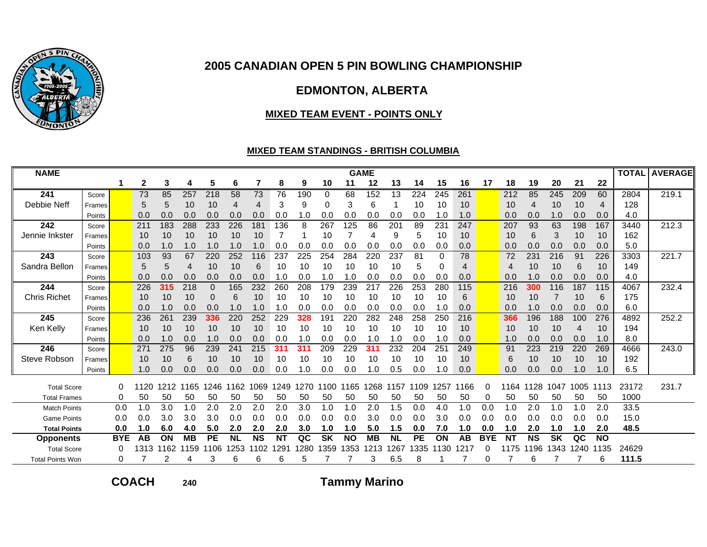

# **EDMONTON, ALBERTA**

#### **MIXED TEAM EVENT - POINTS ONLY**

### **MIXED TEAM STANDINGS - BRITISH COLUMBIA**

| <b>NAME</b>             |        |            |             |      |           |                  |                 |           |           |      |           |           | <b>GAME</b> |           |           |      |      |            |                |           |           |      |           | <b>TOTAL</b> | <b>AVERAGE</b> |
|-------------------------|--------|------------|-------------|------|-----------|------------------|-----------------|-----------|-----------|------|-----------|-----------|-------------|-----------|-----------|------|------|------------|----------------|-----------|-----------|------|-----------|--------------|----------------|
|                         |        |            | $\mathbf 2$ | 3    | 4         | 5                | 6               | 7         | 8         | 9    | 10        | 11        | 12          | 13        | 14        | 15   | 16   | 17         | 18             | 19        | 20        | 21   | 22        |              |                |
| 241                     | Score  |            | 73          | 85   | 257       | $\overline{218}$ | $\overline{58}$ | 73        | 76        | 190  | 0         | 68        | 152         | 13        | 224       | 245  | 261  |            | 212            | 85        | 245       | 209  | 60        | 2804         | 219.1          |
| Debbie Neff             | Frames |            | 5           | 5    | 10        | 10               | 4               | 4         | 3         | 9    | 0         | 3         | 6           |           | 10        | 10   | 10   |            | 10             | 4         | 10        | 10   | 4         | 128          |                |
|                         | Points |            | 0.0         | 0.0  | 0.0       | 0.0              | 0.0             | 0.0       | 0.0       | 1.0  | 0.0       | 0.0       | 0.0         | 0.0       | 0.0       | 1.0  | 1.0  |            | 0.0            | 0.0       | 1.0       | 0.0  | 0.0       | 4.0          |                |
| 242                     | Score  |            | 211         | 183  | 288       | 233              | 226             | 181       | 136       | 8    | 267       | 125       | 86          | 201       | 89        | 231  | 247  |            | 207            | 93        | 63        | 198  | 167       | 3440         | 212.3          |
| Jennie Inkster          | Frames |            | 10          | 10   | 10        | 10               | 10              | 10        | 7         |      | 10        |           | 4           | 9         | 5         | 10   | 10   |            | 10             | 6         | 3         | 10   | 10        | 162          |                |
|                         | Points |            | 0.0         | 1.0  | 1.0       | 1.0              | 1.0             | 1.0       | 0.0       | 0.0  | 0.0       | 0.0       | 0.0         | 0.0       | 0.0       | 0.0  | 0.0  |            | 0.0            | 0.0       | 0.0       | 0.0  | 0.0       | 5.0          |                |
| 243                     | Score  |            | 103         | 93   | 67        | 220              | 252             | 116       | 237       | 225  | 254       | 284       | 220         | 237       | 81        | 0    | 78   |            | 72             | 231       | 216       | 91   | 226       | 3303         | 221.7          |
| Sandra Bellon           | Frames |            | 5           | 5    | 4         | 10               | 10              | 6         | 10        | 10   | 10        | 10        | 10          | 10        | 5         | 0    | 4    |            | $\overline{4}$ | 10        | 10        | 6    | 10        | 149          |                |
|                         | Points |            | 0.0         | 0.0  | 0.0       | 0.0              | 0.0             | 0.0       | 1.0       | 0.0  | 1.0       | 1.0       | 0.0         | 0.0       | 0.0       | 0.0  | 0.0  |            | 0.0            | 1.0       | 0.0       | 0.0  | 0.0       | 4.0          |                |
| 244                     | Score  |            | 226         | 315  | 218       | 0                | 165             | 232       | 260       | 208  | 179       | 239       | 217         | 226       | 253       | 280  | 115  |            | 216            | 300       | 116       | 187  | 115       | 4067         | 232.4          |
| <b>Chris Richet</b>     | Frames |            | 10          | 10   | 10        | 0                | 6               | 10        | 10        | 10   | 10        | 10        | 10          | 10        | 10        | 10   | 6    |            | 10             | 10        |           | 10   | 6         | 175          |                |
|                         | Points |            | 0.0         | 1.0  | 0.0       | 0.0              | 1.0             | 1.0       | 1.0       | 0.0  | 0.0       | 0.0       | 0.0         | 0.0       | 0.0       | 1.0  | 0.0  |            | 0.0            | 1.0       | 0.0       | 0.0  | 0.0       | 6.0          |                |
| 245                     | Score  |            | 236         | 261  | 239       | 336              | 220             | 252       | 229       | 328  | 191       | 220       | 282         | 248       | 258       | 250  | 216  |            | 366            | 196       | 188       | 100  | 276       | 4892         | 252.2          |
| Ken Kelly               | Frames |            | 10          | 10   | 10        | 10               | 10              | 10        | 10        | 10   | 10        | 10        | 10          | 10        | 10        | 10   | 10   |            | 10             | 10        | 10        | 4    | 10        | 194          |                |
|                         | Points |            | 0.0         | 1.0  | 0.0       | 1.0              | 0.0             | 0.0       | 0.0       | 1.0  | 0.0       | 0.0       | 1.0         | 1.0       | 0.0       | 1.0  | 0.0  |            | 1.0            | 0.0       | 0.0       | 0.0  | 1.0       | 8.0          |                |
| 246                     | Score  |            | 27'         | 275  | 96        | 239              | 241             | 215       | 31'       | 31'  | 209       | 229       | 31'         | 232       | 204       | 251  | 249  |            | 91             | 223       | 219       | 220  | 269       | 4666         | 243.0          |
| Steve Robson            | Frames |            | 10          | 10   | 6         | 10               | 10              | 10        | 10        | 10   | 10        | 10        | 10          | 10        | 10        | 10   | 10   |            | 6              | 10        | 10        | 10   | 10        | 192          |                |
|                         | Points |            | 1.0         | 0.0  | 0.0       | 0.0              | 0.0             | 0.0       | 0.0       | 1.0  | 0.0       | 0.0       | 1.0         | 0.5       | 0.0       | 1.0  | 0.0  |            | 0.0            | 0.0       | 0.0       | 1.0  | 1.0       | 6.5          |                |
| <b>Total Score</b>      |        | 0          | 1120        | 1212 | 1165      | 1246             | 1162            | 1069      | 1249      | 1270 | 1100      | 1165      | 1268        | 1157      | 1109      | 1257 | 166  | 0          | 1164           | 1128      | 1047      | 1005 | 1113      | 23172        | 231.7          |
| <b>Total Frames</b>     |        | 0          | 50          | 50   | 50        | 50               | 50              | 50        | 50        | 50   | 50        | 50        | 50          | 50        | 50        | 50   | 50   | 0          | 50             | 50        | 50        | 50   | 50        | 1000         |                |
| <b>Match Points</b>     |        | 0.0        | 1.0         | 3.0  | 1.0       | 2.0              | 2.0             | 2.0       | 2.0       | 3.0  | 1.0       | 1.0       | 2.0         | 1.5       | 0.0       | 4.0  | 1.0  | 0.0        | 1.0            | 2.0       | 1.0       | 1.0  | 2.0       | 33.5         |                |
| <b>Game Points</b>      |        | 0.0        | 0.0         | 3.0  | 3.0       | 3.0              | 0.0             | 0.0       | 0.0       | 0.0  | 0.0       | 0.0       | 3.0         | 0.0       | 0.0       | 3.0  | 0.0  | 0.0        | 0.0            | 0.0       | 0.0       | 0.0  | 0.0       | 15.0         |                |
| <b>Total Points</b>     |        | 0.0        | 1.0         | 6.0  | 4.0       | 5.0              | 2.0             | 2.0       | 2.0       | 3.0  | 1.0       | 1.0       | 5.0         | 1.5       | 0.0       | 7.0  | 1.0  | 0.0        | 1.0            | 2.0       | 1.0       | 1.0  | 2.0       | 48.5         |                |
| <b>Opponents</b>        |        | <b>BYE</b> | AB          | ON   | <b>MB</b> | <b>PE</b>        | <b>NL</b>       | <b>NS</b> | <b>NT</b> | QC   | <b>SK</b> | <b>NO</b> | <b>MB</b>   | <b>NL</b> | <b>PE</b> | ON   | AB   | <b>BYE</b> | <b>NT</b>      | <b>NS</b> | <b>SK</b> | QC   | <b>NO</b> |              |                |
| <b>Total Score</b>      |        | 0          | 1313        | 1162 | 159       | 106              | 1253            | 102       | 1291      | 280  | 359       | 353       | 1213        | 267       | 335       | 130  | 1217 |            | 175            | 196       | 343       | 1240 | 1135      | 24629        |                |
| <b>Total Points Won</b> |        | 0          |             | 2    | 4         | 3                | 6               | 6         | 6         | 5    |           |           | 3           | 6.5       | 8         |      |      | 0          |                | 6         |           |      | 6         | 111.5        |                |

**<sup>240</sup> Tammy Marino**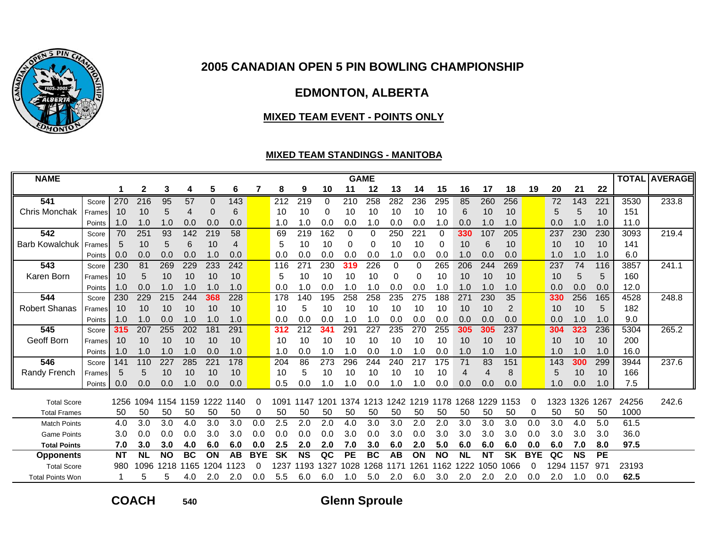

# **EDMONTON, ALBERTA**

#### **MIXED TEAM EVENT - POINTS ONLY**

#### **MIXED TEAM STANDINGS - MANITOBA**

| <b>NAME</b>             |         |           |                  |           |                 |      |           |            |           |           |            |           | <b>GAME</b> |           |          |           |           |                  |                |            |                |           |           |       | <b>TOTAL AVERAGE</b> |
|-------------------------|---------|-----------|------------------|-----------|-----------------|------|-----------|------------|-----------|-----------|------------|-----------|-------------|-----------|----------|-----------|-----------|------------------|----------------|------------|----------------|-----------|-----------|-------|----------------------|
|                         |         |           | 2                | 3         | 4               | 5    | 6         | 7          | 8         | 9         | 10         | 11        | 12          | 13        | 14       | 15        | 16        | 17               | 18             | 19         | 20             | 21        | 22        |       |                      |
| 541                     | Score   | 270       | $\overline{216}$ | 95        | $\overline{57}$ | 0    | 143       |            | 212       | 219       | 0          | 210       | 258         | 282       | 236      | 295       | 85        | 260              | 256            |            | 72             | 143       | 221       | 3530  | 233.8                |
| Chris Monchak           | Frames  | 10        | 10               | 5         | 4               | 0    | 6         |            | 10        | 10        | 0          | 10        | 10          | 10        | 10       | 10        | 6         | 10               | 10             |            | 5              | 5         | 10        | 151   |                      |
|                         | Points  | 1.0       | 1.0              | 1.0       | 0.0             | 0.0  | 0.0       |            | 1.0       | 1.0       | 0.0        | 0.0       | 1.0         | 0.0       | 0.0      | 1.0       | 0.0       | 1.0              | 1.0            |            | 0.0            | 1.0       | 1.0       | 11.0  |                      |
| 542                     | Score   | 70        | 251              | 93        | 142             | 219  | 58        |            | 69        | 219       | 162        | 0         | 0           | 250       | 221      | 0         | 330       | 107              | 205            |            | 237            | 230       | 230       | 3093  | 219.4                |
| <b>Barb Kowalchuk</b>   | Frames  | 5         | 10               | 5         | 6               | 10   | 4         |            | 5         | 10        | 10         | 0         | $\Omega$    | 10        | 10       | 0         | 10        | 6                | 10             |            | 10             | 10        | 10        | 141   |                      |
|                         | Points  | 0.0       | 0.0              | 0.0       | 0.0             | 1.0  | 0.0       |            | 0.0       | 0.0       | 0.0        | 0.0       | 0.0         | 1.0       | 0.0      | 0.0       | 1.0       | 0.0              | 0.0            |            | 1.0            | 1.0       | 1.0       | 6.0   |                      |
| 543                     | Score   | 230       | 81               | 269       | 229             | 233  | 242       |            | 116       | 271       | 230        | 319       | 226         | 0         | $\Omega$ | 265       | 206       | 244              | 269            |            | 237            | 74        | 116       | 3857  | 241.1                |
| Karen Born              | Framesl | 10        | 5                | 10        | 10              | 10   | 10        |            | 5         | 10        | 10         | 10        | 10          | 0         | 0        | 10        | 10        | 10               | 10             |            | 10             | 5         | 5         | 160   |                      |
|                         | Points  | 1.0       | 0.0              | 1.0       | 1.0             | 1.0  | 1.0       |            | 0.0       | .0        | 0.0        | 1.0       | 1.0         | 0.0       | 0.0      | 1.0       | 1.0       | 1.0              | 1.0            |            | 0.0            | 0.0       | 0.0       | 12.0  |                      |
| 544                     | Score   | 230       | 229              | 215       | 244             | 368  | 228       |            | 178       | 140       | 195        | 258       | 258         | 235       | 275      | 188       | 271       | 230              | 35             |            | 330            | 256       | 165       | 4528  | 248.8                |
| <b>Robert Shanas</b>    | Frames  | 10        | 10               | 10        | 10              | 10   | 10        |            | 10        | 5         | 10         | 10        | 10          | 10        | 10       | 10        | 10        | 10               | $\overline{2}$ |            | 10             | 10        | 5         | 182   |                      |
|                         | Points  | 1.0       | 1.0              | 0.0       | 1.0             | 1.0  | 1.0       |            | 0.0       | 0.0       | 0.0        | 1.0       | 1.0         | 0.0       | 0.0      | 0.0       | 0.0       | 0.0              | 0.0            |            | 0 <sub>c</sub> | 1.0       | 1.0       | 9.0   |                      |
| 545                     | Score   | 315       | 207              | 255       | 202             | 181  | 291       |            | 312       | 212       | 341        | 291       | 227         | 235       | 270      | 255       | 305       | 305              | 237            |            | 304            | 323       | 236       | 5304  | 265.2                |
| Geoff Born              | Frames  | 10        | 10               | 10        | 10              | 10   | 10        |            | 10        | 10        | 10         | 10        | 10          | 10        | 10       | 10        | 10        | 10               | 10             |            | 10             | 10        | 10        | 200   |                      |
|                         | Points  | 1.0       | 1.0              | 1.0       | 1.0             | 0.0  | 1.0       |            | 1.0       | 0.0       | 1.0        | 1.0       | 0.0         | 1.0       | 1.0      | 0.0       | 1.0       | 1.0              | 1.0            |            | 1.0            | 1.0       | 1.0       | 16.0  |                      |
| 546                     | Score   | 141       | 110              | 227       | 285             | 221  | 178       |            | 204       | 86        | 273        | 296       | 244         | 240       | 217      | 175       | 71        | 83               | 151            |            | 143            | 300       | 299       | 3944  | 237.6                |
| Randy French            | Framesl | 5         | 5                | 10        | 10              | 10   | 10        |            | 10        | 5         | 10         | 10        | 10          | 10        | 10       | 10        | 4         | $\boldsymbol{4}$ | 8              |            | 5              | 10        | 10        | 166   |                      |
|                         | Points  | 0.0       | 0.0              | 0.0       | 1.0             | 0.0  | 0.0       |            | 0.5       | 0.0       | $\cdot$ .0 | 1.0       | 0.0         | 1.0       | 0. ا     | 0.0       | 0.0       | 0.0              | 0.0            |            | 1.0            | 0.0       | 1.0       | 7.5   |                      |
| <b>Total Score</b>      |         | 1256      | 1094             | 1154      | 159             | 1222 | 1140      | O          | 1091      | 1147      | 1201       | 1374      | 1213        | 1242      | 1219     | 1178      | 1268      | 1229             | 1153           | 0          | 1323           | 1326      | 1267      | 24256 | 242.6                |
| <b>Total Frames</b>     |         | 50        | 50               | 50        | 50              | 50   | 50        | 0          | 50        | 50        | 50         | 50        | 50          | 50        | 50       | 50        | 50        | 50               | 50             | 0          | 50             | 50        | 50        | 1000  |                      |
| <b>Match Points</b>     |         | 4.0       | 3.0              | 3.0       | 4.0             | 3.0  | 3.0       | 0.0        | 2.5       | 2.0       | 2.0        | 4.0       | 3.0         | 3.0       | 2.0      | 2.0       | 3.0       | 3.0              | 3.0            | 0.0        | 3.0            | 4.0       | 5.0       | 61.5  |                      |
| <b>Game Points</b>      |         | 3.0       | 0.0              | 0.0       | 0.0             | 3.0  | 3.0       | 0.0        | 0.0       | 0.0       | 0.0        | 3.0       | 0.0         | 3.0       | 0.0      | 3.0       | 3.0       | 3.0              | 3.0            | 0.0        | 3.0            | 3.0       | 3.0       | 36.0  |                      |
| <b>Total Points</b>     |         | 7.0       | 3.0              | 3.0       | 4.0             | 6.0  | 6.0       | 0.0        | $2.5\,$   | 2.0       | 2.0        | 7.0       | 3.0         | 6.0       | 2.0      | 5.0       | 6.0       | 6.0              | 6.0            | 0.0        | 6.0            | 7.0       | 8.0       | 97.5  |                      |
| <b>Opponents</b>        |         | <b>NT</b> | <b>NL</b>        | <b>NO</b> | <b>BC</b>       | ON   | <b>AB</b> | <b>BYE</b> | <b>SK</b> | <b>NS</b> | QC         | <b>PE</b> | <b>BC</b>   | <b>AB</b> | ON       | <b>NO</b> | <b>NL</b> | <b>NT</b>        | <b>SK</b>      | <b>BYE</b> | QC             | <b>NS</b> | <b>PE</b> |       |                      |
| <b>Total Score</b>      |         | 980       | 1096             | 1218      | 165             | 204  | 1123      | 0          | 1237      | 1193      | 1327       | 1028      | 1268        |           | 1261     | 1162      | 1222      | 1050             | 1066           | 0          | 1294           | 1157      | 971       | 23193 |                      |
| <b>Total Points Won</b> |         |           | 5                | 5         | 4.0             | 2.0  | 2.0       | 0.0        | 5.5       | 6.0       | 6.0        | 1.0       | 5.0         | 2.0       | 6.0      | 3.0       | 2.0       | 2.0              | 2.0            | 0.0        | 2.0            | 1.0       | 0.0       | 62.5  |                      |

**COACH**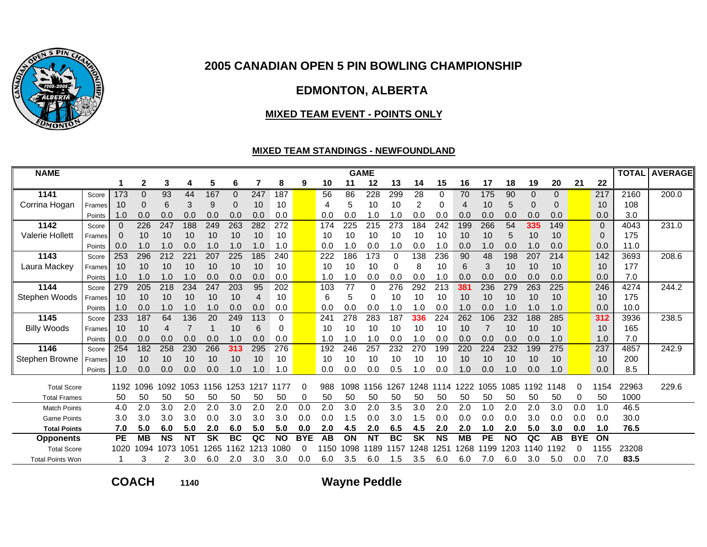

# **EDMONTON, ALBERTA**

#### **MIXED TEAM EVENT - POINTS ONLY**

### **MIXED TEAM STANDINGS - NEWFOUNDLAND**

| <b>NAME</b>             |               |           |                |           |               |           |           |           |           |            |           |           | <b>GAME</b> |            |           |            |           |           |           |              |           |            |             | <b>TOTAL</b> | <b>AVERAGE</b> |
|-------------------------|---------------|-----------|----------------|-----------|---------------|-----------|-----------|-----------|-----------|------------|-----------|-----------|-------------|------------|-----------|------------|-----------|-----------|-----------|--------------|-----------|------------|-------------|--------------|----------------|
|                         |               |           | $\overline{2}$ | 3         | 4             | 5         | 6         | 7         | 8         | 9          | 10        | 11        | 12          | 13         | 14        | 15         | 16        | 17        | 18        | 19           | 20        | 21         | 22          |              |                |
| 1141                    | Score         | 173       | 0              | 93        | 44            | 167       | 0         | 247       | 187       |            | 56        | 86        | 228         | 299        | 28        | 0          | 70        | 175       | 90        | $\mathbf{0}$ | 0         |            | 217         | 2160         | 200.0          |
| Corrina Hogan           | <b>Frames</b> | 10        | 0              | 6         | 3             | 9         | 0         | 10        | 10        |            | 4         | 5         | 10          | 10         | 2         | 0          | 4         | 10        | 5         | 0            | $\Omega$  |            | 10          | 108          |                |
|                         | Points        | 1.0       | 0.0            | 0.0       | 0.0           | 0.0       | 0.0       | 0.0       | 0.0       |            | 0.0       | 0.0       | 1.0         | 1.0        | 0.0       | 0.0        | 0.0       | 0.0       | 0.0       | 0.0          | 0.0       |            | 0.0         | 3.0          |                |
| 1142                    | Score         | $\Omega$  | 226            | 247       | 188           | 249       | 263       | 282       | 272       |            | 174       | 225       | 215         | 273        | 184       | 242        | 199       | 266       | 54        | 335          | 149       |            | $\mathbf 0$ | 4043         | 231.0          |
| <b>Valerie Hollett</b>  | Frames        | 0         | 10             | 10        | 10            | 10        | 10        | 10        | 10        |            | 10        | 10        | 10          | 10         | 10        | 10         | 10        | 10        | 5         | 10           | 10        |            | $\Omega$    | 175          |                |
|                         | Points        | 0.0       | 1.0            | 1.0       | 0.0           | 1.0       | 1.0       | 1.0       | 1.0       |            | 0.0       | 1.0       | 0.0         | 1.0        | 0.0       | 1.0        | 0.0       | 1.0       | 0.0       | 1.0          | 0.0       |            | 0.0         | 11.0         |                |
| 1143                    | Score         | 253       | 296            | 212       | 22'           | 207       | 225       | 185       | 240       |            | 222       | 186       | 173         | 0          | 138       | 236        | 90        | 48        | 198       | 207          | 214       |            | 142         | 3693         | 208.6          |
| Laura Mackey            | Frames I      | 10        | 10             | 10        | 10            | 10        | 10        | 10        | 10        |            | 10        | 10        | 10          | 0          | 8         | 10         | 6         | 3         | 10        | 10           | 10        |            | 10          | 177          |                |
|                         | Points        | 1.0       | 1.0            | 1.0       | 1.0           | 0.0       | 0.0       | 0.0       | 0.0       |            | 1.0       | 1.0       | 0.0         | 0.0        | 0.0       | $\cdot$ .0 | 0.0       | 0.0       | 0.0       | 0.0          | 0.0       |            | 0.0         | 7.0          |                |
| 1144                    | Score         | 279       | 205            | 218       | 234           | 247       | 203       | 95        | 202       |            | 103       | 77        | $\Omega$    | 276        | 292       | 213        | 381       | 236       | 279       | 263          | 225       |            | 246         | 4274         | 244.2          |
| Stephen Woods           | Frames        | 10        | 10             | 10        | 10            | 10        | 10        | 4         | 10        |            | 6         | 5         | 0           | 10         | 10        | 10         | 10        | 10        | 10        | 10           | 10        |            | 10          | 175          |                |
|                         | Points        | 1.0       | 0.0            | 1.0       | 1.0           | 1.0       | 0.0       | 0.0       | 0.0       |            | 0.0       | 0.0       | 0.0         | 1.0        | 1.0       | 0.0        | 1.0       | 0.0       | 1.0       | 1.0          | 1.0       |            | 0.0         | 10.0         |                |
| 1145                    | Score         | 233       | 187            | 64        | 136           | 20        | 249       | 113       | 0         |            | 241       | 278       | 283         | 187        | 336       | 224        | 262       | 106       | 232       | 188          | 285       |            | 312         | 3936         | 238.5          |
| <b>Billy Woods</b>      | Frames        | 10        | 10             | 4         |               |           | 10        | 6         | 0         |            | 10        | 10        | 10          | 10         | 10        | 10         | 10        |           | 10        | 10           | 10        |            | 10          | 165          |                |
| 1146                    | Points        | 0.0       | 0.0            | 0.0       | 0.0           | 0.0       | 1.0       | 0.0       | 0.0       |            | 1.0       | 1.0       | 1.0         | 0.0<br>232 | 1.0       | 0.0        | 0.0       | 0.0       | 0.0       | 0.0          | 1.0       |            | 1.0         | 7.0          |                |
|                         | Score         | 254       | 182            | 258       | 230           | 266       | 313       | 295       | 276       |            | 192       | 246       | 257         |            | 270       | 199        | 220       | 224       | 232       | 199          | 275<br>10 |            | 237         | 4857         | 242.9          |
| Stephen Browne          | Frames        | 10        | 10<br>0.0      | 10<br>0.0 | 10<br>0.0     | 10<br>0.0 | 10<br>1.0 | 10<br>1.0 | 10<br>1.0 |            | 10<br>0.0 | 10<br>0.0 | 10<br>0.0   | 10<br>0.5  | 10<br>1.0 | 10<br>0.0  | 10<br>1.0 | 10<br>0.0 | 10<br>1.0 | 10<br>0.0    | 1.0       |            | 10<br>0.0   | 200<br>8.5   |                |
|                         | Points        | 1.0       |                |           |               |           |           |           |           |            |           |           |             |            |           |            |           |           |           |              |           |            |             |              |                |
| <b>Total Score</b>      |               | 1192      | 1096           | 1092      | 1053          | 1156      | 1253      | 1217      | 1177      | 0          | 988       | 1098      | 1156        | 1267       | 1248      | 1114       | 1222      | 1055      | 1085      | 192          | 148       | 0          | 1154        | 22963        | 229.6          |
| <b>Total Frames</b>     |               | 50        | 50             | 50        | 50            | 50        | 50        | 50        | 50        | 0          | 50        | 50        | 50          | 50         | 50        | 50         | 50        | 50        | 50        | 50           | 50        | 0          | 50          | 1000         |                |
| <b>Match Points</b>     |               | 4.0       | 2.0            | 3.0       | 2.0           | 2.0       | 3.0       | 2.0       | 2.0       | 0.0        | 2.0       | 3.0       | 2.0         | 3.5        | 3.0       | 2.0        | 2.0       | 1.0       | 2.0       | 2.0          | 3.0       | 0.0        | 1.0         | 46.5         |                |
| <b>Game Points</b>      |               | 3.0       | 3.0            | 3.0       | 3.0           | 0.0       | 3.0       | 3.0       | 3.0       | 0.0        | 0.0       | 1.5       | 0.0         | 3.0        | 1.5       | 0.0        | 0.0       | 0.0       | 0.0       | 3.0          | 0.0       | 0.0        | 0.0         | 30.0         |                |
| <b>Total Points</b>     |               | 7.0       | 5.0            | 6.0       | 5.0           | 2.0       | 6.0       | 5.0       | 5.0       | 0.0        | 2.0       | 4.5       | 2.0         | 6.5        | 4.5       | 2.0        | 2.0       | 1.0       | 2.0       | 5.0          | 3.0       | 0.0        | 1.0         | 76.5         |                |
| <b>Opponents</b>        |               | <b>PE</b> | <b>MB</b>      | <b>NS</b> | <b>NT</b>     | <b>SK</b> | <b>BC</b> | QC        | <b>NO</b> | <b>BYE</b> | AB        | ON        | <b>NT</b>   | <b>BC</b>  | SK        | <b>NS</b>  | <b>MB</b> | <b>PE</b> | <b>NO</b> | QC           | AB        | <b>BYE</b> | ON          |              |                |
| <b>Total Score</b>      |               | 1020      | 1094           | 1073      | $105^{\circ}$ | 265       | 1162      | 1213      | 1080      | 0          | 150       | 1098      | 189         | 1157       | 248       | l 251      | 268       | 199       | 1203      | 140          | 192       | O          | 1155        | 23208        |                |
| <b>Total Points Won</b> |               |           | 3              |           | 3.0           | 6.0       | 2.0       | 3.0       | 3.0       | 0.0        | 6.0       | 3.5       | 6.0         | l.5        | 3.5       | 6.0        | 6.0       | 7.0       | 6.0       | 3.0          | 5.0       | 0.0        | 7.0         | 83.5         |                |

**COACH**

**<sup>1140</sup> Wayne Peddle**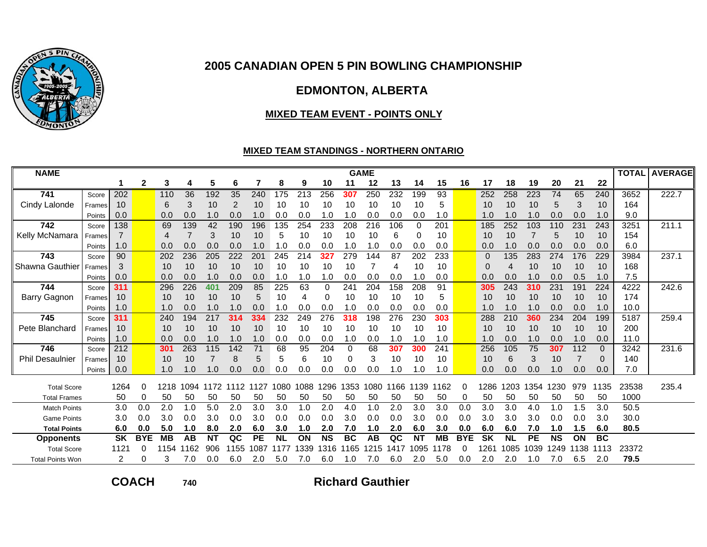

# **EDMONTON, ALBERTA**

#### **MIXED TEAM EVENT - POINTS ONLY**

### **MIXED TEAM STANDINGS - NORTHERN ONTARIO**

| <b>NAME</b>             |                  |           |              |            |           |           |          |           |           |         |           |           | <b>GAME</b> |           |            |            |            |           |           |         |           |            |           | <b>TOTAL</b> | <b>AVERAGE</b> |
|-------------------------|------------------|-----------|--------------|------------|-----------|-----------|----------|-----------|-----------|---------|-----------|-----------|-------------|-----------|------------|------------|------------|-----------|-----------|---------|-----------|------------|-----------|--------------|----------------|
|                         |                  |           | $\mathbf{2}$ | 3          | 4         | 5         | 6        |           | 8         | 9       | 10        | 11        | 12          | 13        | 14         | 15         | 16         | 17        | 18        | 19      | 20        | 21         | 22        |              |                |
| 741                     | Score            | 202       |              | 110        | 36        | 192       | 35       | 240       | 175       | 213     | 256       | 307       | 250         | 232       | 199        | 93         |            | 252       | 258       | 223     | 74        | 65         | 240       | 3652         | 222.7          |
| Cindy Lalonde           | Frames           | 10        |              | 6          | 3         | 10        | 2        | 10        | 10        | 10      | 10        | 10        | 10          | 10        | 10         | 5          |            | 10        | 10        | 10      | 5         | 3          | 10        | 164          |                |
|                         | Points           | 0.0       |              | 0.0        | 0.0       | 1.0       | 0.0      | 1.0       | 0.0       | 0.0     | 1.0       | 1.0       | 0.0         | 0.0       | 0.0        | 1.0        |            | 1.0       | 1.0       | 1.0     | 0.0       | 0.0        | 1.0       | 9.0          |                |
| 742                     | Score            | 138       |              | 69         | 139       | 42        | 190      | 196       | 135       | 254     | 233       | 208       | 216         | 106       | 0          | 201        |            | 185       | 252       | 103     | 110       | 231        | 243       | 3251         | 211.1          |
| Kelly McNamara          | Frames           |           |              | 4          | 7         | 3         | 10       | 10        | 5         | 10      | 10        | 10        | 10          | 6         | 0          | 10         |            | 10        | 10        |         | 5         | 10         | 10        | 154          |                |
|                         | Points           | 1.0       |              | 0.0        | 0.0       | 0.0       | 0.0      | 1.0       | 1.0       | 0.0     | 0.0       | 1.0       | 1.0         | 0.0       | 0.0        | 0.0        |            | 0.0       | 1.0       | 0.0     | 0.0       | 0.0        | 0.0       | 6.0          |                |
| 743                     | Score            | 90        |              | 202        | 236       | 205       | 222      | 201       | 245       | 214     | 327       | 279       | 144         | 87        | 202        | 233        |            | 0         | 135       | 283     | 274       | 176        | 229       | 3984         | 237.1          |
| Shawna Gauthier         | Frames           | 3         |              | 10         | 10        | 10        | 10       | 10        | 10        | 10      | 10        | 10        |             | 4         | 10         | 10         |            | 0         | 4         | 10      | 10        | 10         | 10        | 168          |                |
|                         | Points           | 0.0       |              | 0.0        | 0.0       | 1.0       | 0.0      | 0.0       | 1.0       | 1.0     | 1.0       | 0.0       | 0.0         | 0.0       | 1.0        | 0.0        |            | 0.0       | 0.0       | 1.0     | 0.0       | 0.5        | 1.0       | 7.5          |                |
| 744                     | Score            | 311       |              | 296        | 226       | 401       | 209      | 85        | 225       | 63      | 0         | 241       | 204         | 158       | 208        | 91         |            | 305       | 243       | 310     | 231       | 191        | 224       | 4222         | 242.6          |
| <b>Barry Gagnon</b>     | Frames           | 10        |              | 10         | 10        | 10        | 10       | 5         | 10        | 4       | 0         | 10        | 10          | 10        | 10         | 5          |            | 10        | 10        | 10      | 10        | 10         | 10        | 174          |                |
|                         | Points           | 1.0       |              | 1.0        | 0.0       | 1.0       | 1.0      | 0.0       | 1.0       | 0.0     | 0.0       | 1.0       | 0.0         | 0.0       | 0.0        | 0.0        |            | 1.0       | 1.0       | 1.0     | 0.0       | 0.0        | 1.0       | 10.0         |                |
| 745                     | Score            | 311       |              | 240        | 194       | 217       | 314      | 334       | 232       | 249     | 276       | 318       | 198         | 276       | 230        | 303        |            | 288       | 210       | 360     | 234       | 204        | 199       | 5187         | 259.4          |
| Pete Blanchard          | Frames           | 10        |              | 10         | 10        | 10        | 10       | 10        | 10        | 10      | 10        | 10        | 10          | 10        | 10         | 10         |            | 10        | 10        | 10      | 10        | 10         | 10        | 200          |                |
| 746                     | Points           | 1.0       |              | 0.0<br>301 | 0.0       | 1.0       | 1.0      | 1.0<br>71 | 0.0       | 0.0     | 0.0       | 1.0       | 0.0         | 1.0       | 1.0<br>300 | 1.0<br>241 |            | 1.0       | 0.0       | 1.0     | 0.0       | 1.0<br>112 | 0.0       | 11.0         |                |
| <b>Phil Desaulnier</b>  | Score            | 212       |              |            | 263<br>10 | 115       | 142      | 5         | 68<br>5   | 95<br>6 | 204<br>10 | 0<br>0    | 68<br>3     | 307<br>10 | 10         | 10         |            | 256       | 105<br>6  | 75<br>3 | 307       |            | $\Omega$  | 3242         | 231.6          |
|                         | Frames<br>Points | 10<br>0.0 |              | 10<br>1.0  | 1.0       | 1.0       | 8<br>0.0 |           | 0.0       | 0.0     | 0.0       | 0.0       | 0.0         | l .0      | 0. ا       | 1.0        |            | 10<br>0.0 | 0.0       | 0.0     | 10<br>1.0 | 0.0        | 0<br>0.0  | 140<br>7.0   |                |
|                         |                  |           |              |            |           |           |          |           |           |         |           |           |             |           |            |            |            |           |           |         |           |            |           |              |                |
| <b>Total Score</b>      |                  | 1264      | 0            | 1218       | 1094      | 1172      |          | 1112 1127 | 1080      | 1088    | 1296      | 353       | 1080        | 166       | 1139       | 1162       | $\Omega$   | 286       | 1203      | 354     | 230       | 979        | 1135      | 23538        | 235.4          |
| <b>Total Frames</b>     |                  | 50        | 0            | 50         | 50        | 50        | 50       | 50        | 50        | 50      | 50        | 50        | 50          | 50        | 50         | 50         | 0          | 50        | 50        | 50      | 50        | 50         | 50        | 1000         |                |
| <b>Match Points</b>     |                  | 3.0       | 0.0          | 2.0        | 1.0       | 5.0       | 2.0      | 3.0       | 3.0       | 1.0     | 2.0       | 4.0       | 1.0         | 2.0       | 3.0        | 3.0        | 0.0        | 3.0       | 3.0       | 4.0     | 1.0       | 1.5        | 3.0       | 50.5         |                |
| <b>Game Points</b>      |                  | 3.0       | 0.0          | 3.0        | 0.0       | 3.0       | 0.0      | 3.0       | 0.0       | 0.0     | 0.0       | 3.0       | 0.0         | 0.0       | 3.0        | 0.0        | 0.0        | 3.0       | 3.0       | 3.0     | 0.0       | 0.0        | 3.0       | 30.0         |                |
| <b>Total Points</b>     |                  | 6.0       | 0.0          | 5.0        | 1.0       | 8.0       | 2.0      | 6.0       | 3.0       | 1.0     | 2.0       | 7.0       | 1.0         | 2.0       | 6.0        | 3.0        | 0.0        | 6.0       | 6.0       | 7.0     | 1.0       | 1.5        | 6.0       | 80.5         |                |
| <b>Opponents</b>        |                  | <b>SK</b> | <b>BYE</b>   | МB         | AB        | <b>NT</b> | QC       | <b>PE</b> | <b>NI</b> | ON      | <b>NS</b> | <b>BC</b> | AB          | QC        | <b>NT</b>  | <b>MB</b>  | <b>BYE</b> | <b>SK</b> | <b>NL</b> | PE      | <b>NS</b> | ON         | <b>BC</b> |              |                |
| <b>Total Score</b>      |                  | 1121      | 0            | 1154       | 1162      | 906       | 155      | 1087      | 1177      | 339     | 316       | 165       | 1215        | 1417      | 095        | 178        | $\Omega$   | 261       | 1085      | 1039    | 249       | 1138       | 1113      | 23372        |                |
| <b>Total Points Won</b> |                  | 2         | 0            | 3          | 7.0       | 0.0       | 6.0      | 2.0       | 5.0       | 7.0     | 6.0       | 1.0       | 7.0         | 6.0       | 2.0        | 5.0        | 0.0        | 2.0       | 2.0       | 1.0     | 7.0       | 6.5        | 2.0       | 79.5         |                |

**COACH**

**<sup>740</sup> Richard Gauthier**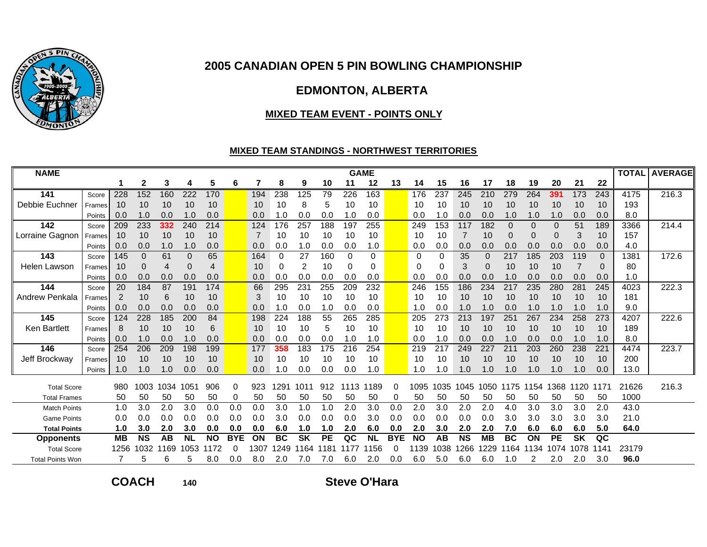

# **EDMONTON, ALBERTA**

#### **MIXED TEAM EVENT - POINTS ONLY**

### **MIXED TEAM STANDINGS - NORTHWEST TERRITORIES**

| <b>NAME</b>             |        |           |              |      |           |           |            |      |           |           |           |      | <b>GAME</b> |            |           |      |           |           |           |           |           |           |                | <b>TOTAL</b> | <b>AVERAGE</b> |
|-------------------------|--------|-----------|--------------|------|-----------|-----------|------------|------|-----------|-----------|-----------|------|-------------|------------|-----------|------|-----------|-----------|-----------|-----------|-----------|-----------|----------------|--------------|----------------|
|                         |        |           | 2            | 3    | 4         | 5         | 6          |      | 8         | 9         | 10        | 11   | 12          | 13         | 14        | 15   | 16        | 17        | 18        | 19        | 20        | 21        | 22             |              |                |
| 141                     | Score  | 228       | 152          | 160  | 222       | 170       |            | 194  | 238       | 125       | 79        | 226  | 163         |            | 176       | 237  | 245       | 210       | 279       | 264       | 391       | 173       | 243            | 4175         | 216.3          |
| Debbie Euchner          | Frames | 10        | 10           | 10   | 10        | 10        |            | 10   | 10        | 8         | 5         | 10   | 10          |            | 10        | 10   | 10        | 10        | 10        | 10        | 10        | 10        | 10             | 193          |                |
|                         | Points | 0.0       | 1.0          | 0.0  | 1.0       | 0.0       |            | 0.0  | 1.0       | 0.0       | 0.0       | 1.0  | 0.0         |            | 0.0       | .0   | 0.0       | 0.0       | 1.0       | 1.0       | 1.0       | 0.0       | 0.0            | 8.0          |                |
| 142                     | Score  | 209       | 233          | 332  | 240       | 214       |            | 124  | 176       | 257       | 188       | 197  | 255         |            | 249       | 153  | 117       | 182       | $\Omega$  | 0         | 0         | 51        | 189            | 3366         | 214.4          |
| Lorraine Gagnon         | Frames | 10        | 10           | 10   | 10        | 10        |            |      | 10        | 10        | 10        | 10   | 10          |            | 10        | 10   | 7         | 10        | $\Omega$  | $\Omega$  | 0         | 3         | 10             | 157          |                |
|                         | Points | 0.0       | 0.0          | 1.0  | 1.0       | 0.0       |            | 0.0  | 0.0       | 1.0       | 0.0       | 0.0  | 1.0         |            | 0.0       | 0.0  | 0.0       | 0.0       | 0.0       | 0.0       | 0.0       | 0.0       | 0.0            | 4.0          |                |
| 143                     | Score  | 145       | $\mathbf{0}$ | 61   | 0         | 65        |            | 164  | 0         | 27        | 160       | 0    | 0           |            | 0         | 0    | 35        | $\Omega$  | 217       | 185       | 203       | 119       | $\Omega$       | 1381         | 172.6          |
| <b>Helen Lawson</b>     | Frames | 10        | 0            | 4    | 0         | 4         |            | 10   | 0         | 2         | 10        | 0    | 0           |            | 0         | 0    | 3         | 0         | 10        | 10        | 10        |           | 0              | 80           |                |
|                         | Points | 0.0       | 0.0          | 0.0  | 0.0       | 0.0       |            | 0.0  | 0.0       | 0.0       | 0.0       | 0.0  | 0.0         |            | 0.0       | 0.0  | 0.0       | 0.0       | 1.0       | 0.0       | 0.0       | 0.0       | 0.0            | 1.0          |                |
| 144                     | Score  | 20        | 184          | 87   | 191       | 174       |            | 66   | 295       | 231       | 255       | 209  | 232         |            | 246       | 155  | 186       | 234       | 217       | 235       | 280       | 281       | 245            | 4023         | 222.3          |
| Andrew Penkala          | Frames | 2         | 10           | 6    | 10        | 10        |            | 3    | 10        | 10        | 10        | 10   | 10          |            | 10        | 10   | 10        | 10        | 10        | 10        | 10        | 10        | 10             | 181          |                |
|                         | Points | 0.0       | 0.0          | 0.0  | 0.0       | 0.0       |            | 0.0  | 1.0       | 0.0       | 1.0       | 0.0  | 0.0         |            | 1.0       | 0.0  | 1.0       | 1.0       | 0.0       | 1.0       | 1.0       | 1.0       | 1.0            | 9.0          |                |
| 145                     | Score  | 124       | 228          | 185  | 200       | 84        |            | 198  | 224       | 188       | 55        | 265  | 285         |            | 205       | 273  | 213       | 197       | 251       | 267       | 234       | 258       | 273            | 4207         | 222.6          |
| <b>Ken Bartlett</b>     | Frames | 8         | 10           | 10   | 10        | 6         |            | 10   | 10        | 10        | 5         | 10   | 10          |            | 10        | 10   | 10        | 10        | 10        | 10        | 10        | 10        | 10             | 189          |                |
|                         | Points | 0.0       | 1.0          | 0.0  | 1.0       | 0.0       |            | 0.0  | 0.0       | 0.0       | 0.0       | 1.0  | 1.0         |            | 0.0       | 1.0  | 0.0       | 0.0       | 1.0       | 0.0       | 0.0       | 1.0       | 1.0            | 8.0          |                |
| 146                     | Score  | 254       | 206          | 209  | 198       | 199       |            | 177  | 358       | 183       | 175       | 216  | 254         |            | 219       | 217  | 249       | 227       | 21'       | 203       | 260       | 238       | 221            | 4474         | 223.7          |
| Jeff Brockway           | Frames | 10        | 10           | 10   | 10        | 10        |            | 10   | 10        | 10        | 10        | 10   | 10          |            | 10        | 10   | 10        | 10        | 10        | 10        | 10        | 10        | 10             | 200          |                |
|                         | Points | .0        | 1.0          | 1.0  | 0.0       | 0.0       |            | 0.0  | 1.0       | 0.0       | 0.0       | 0.0  | 1.0         |            | 1.0       | .0   | 1.0       | 1.0       | 1.0       | 1.0       | 1.0       | 1.0       | 0.0            | 13.0         |                |
| <b>Total Score</b>      |        | 980       | 1003         | 1034 | 1051      | 906       | 0          | 923  | 1291      | 1011      | 912       | 1113 | 1189        | 0          | 1095      | 1035 | 1045      | 050       | 175       | 154<br>-1 | 368       | 120       | 1171           | 21626        | 216.3          |
| <b>Total Frames</b>     |        | 50        | 50           | 50   | 50        | 50        | 0          | 50   | 50        | 50        | 50        | 50   | 50          | 0          | 50        | 50   | 50        | 50        | 50        | 50        | 50        | 50        | 50             | 1000         |                |
| <b>Match Points</b>     |        | 1.0       | 3.0          | 2.0  | 3.0       | 0.0       | 0.0        | 0.0  | 3.0       | 1.0       | 1.0       | 2.0  | 3.0         | 0.0        | 2.0       | 3.0  | 2.0       | 2.0       | 4.0       | 3.0       | 3.0       | 3.0       | 2.0            | 43.0         |                |
| <b>Game Points</b>      |        | 0.0       | 0.0          | 0.0  | 0.0       | 0.0       | 0.0        | 0.0  | 3.0       | 0.0       | 0.0       | 0.0  | 3.0         | 0.0        | 0.0       | 0.0  | 0.0       | 0.0       | 3.0       | 3.0       | 3.0       | 3.0       | 3.0            | 21.0         |                |
| <b>Total Points</b>     |        | 1.0       | 3.0          | 2.0  | 3.0       | 0.0       | 0.0        | 0.0  | 6.0       | 1.0       | 1.0       | 2.0  | 6.0         | 0.0        | 2.0       | 3.0  | 2.0       | 2.0       | 7.0       | 6.0       | 6.0       | 6.0       | 5.0            | 64.0         |                |
| <b>Opponents</b>        |        | <b>MB</b> | <b>NS</b>    | AB   | <b>NL</b> | <b>NO</b> | <b>BYE</b> | ON   | <b>BC</b> | <b>SK</b> | <b>PE</b> | QC   | <b>NL</b>   | <b>BYE</b> | <b>NO</b> | AB   | <b>NS</b> | <b>MB</b> | <b>BC</b> | ON        | <b>PE</b> | <b>SK</b> | $\overline{a}$ |              |                |
| <b>Total Score</b>      |        | 1256      | 1032         | 1169 | 1053      | 1172      | 0          | 1307 | 1249      | 1164      | 181       |      | 156         | 0          | 1139      | 1038 | 266       | 229       | 164       | 134       | 1074      | 1078      | 141            | 23179        |                |
| <b>Total Points Won</b> |        |           | 5            | 6    | 5         | 8.0       | 0.0        | 8.0  | 2.0       | 7.0       | 7.0       | 6.0  | 2.0         | 0.0        | 6.0       | 5.0  | 6.0       | 6.0       | 1.0       |           | 2.0       | 2.0       | 3.0            | 96.0         |                |

**COACH**

**<sup>140</sup> Steve O'Hara**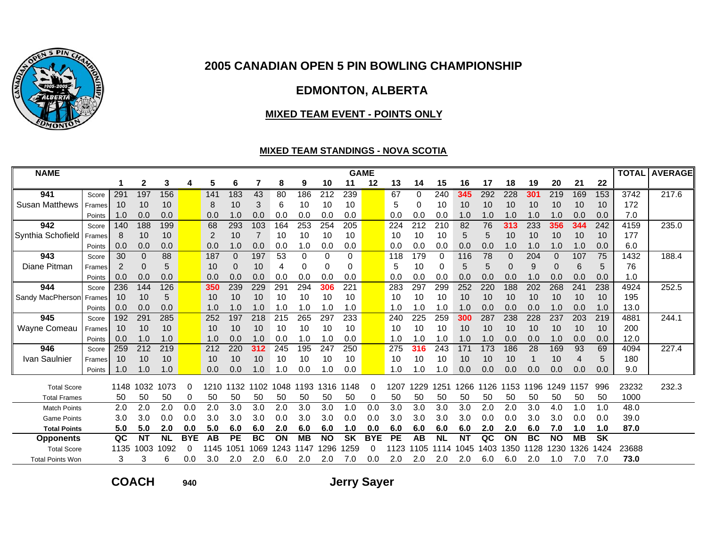

# **EDMONTON, ALBERTA**

#### **MIXED TEAM EVENT - POINTS ONLY**

### **MIXED TEAM STANDINGS - NOVA SCOTIA**

| <b>NAME</b>             |               |      |           |           |            |      |           |           |      |           |           |           | <b>GAME</b> |      |      |           |           |     |          |           |           |           |           |       | <b>TOTAL AVERAGE</b> |
|-------------------------|---------------|------|-----------|-----------|------------|------|-----------|-----------|------|-----------|-----------|-----------|-------------|------|------|-----------|-----------|-----|----------|-----------|-----------|-----------|-----------|-------|----------------------|
|                         |               |      | 2         | 3         | 4          | 5    | 6         | 7         | 8    | 9         | 10        | 11        | 12          | 13   | 14   | 15        | 16        | 17  | 18       | 19        | 20        | 21        | 22        |       |                      |
| 941                     | Score         | 291  | 197       | 156       |            | 141  | 183       | 43        | 80   | 186       | 212       | 239       |             | 67   | 0    | 240       | 345       | 292 | 228      | 301       | 219       | 169       | 153       | 3742  | 217.6                |
| <b>Susan Matthews</b>   | Frames        | 10   | 10        | 10        |            | 8    | 10        | 3         | 6    | 10        | 10        | 10        |             | 5    | 0    | 10        | 10        | 10  | 10       | 10        | 10        | 10        | 10        | 172   |                      |
|                         | Points        | 1.0  | 0.0       | 0.0       |            | 0.0  | 1.0       | 0.0       | 0.0  | 0.0       | 0.0       | 0.0       |             | 0.0  | 0.0  | 0.0       | 1.0       | 1.0 | 1.0      | 1.0       | 1.0       | 0.0       | 0.0       | 7.0   |                      |
| 942                     | Score         | 140  | 188       | 199       |            | 68   | 293       | 103       | 164  | 253       | 254       | 205       |             | 224  | 212  | 210       | 82        | 76  | 313      | 233       | 356       | 344       | 242       | 4159  | 235.0                |
| Synthia Schofield       | Frames        | 8    | 10        | 10        |            | 2    | 10        |           | 10   | 10        | 10        | 10        |             | 10   | 10   | 10        | 5         | 5   | 10       | 10        | 10        | 10        | 10        | 177   |                      |
|                         | Points        | 0.0  | 0.0       | 0.0       |            | 0.0  | 1.0       | 0.0       | 0.0  | 1.0       | 0.0       | 0.0       |             | 0.0  | 0.0  | 0.0       | 0.0       | 0.0 | 1.0      | 1.0       | 1.0       | 1.0       | 0.0       | 6.0   |                      |
| 943                     | Score         | 30   | 0         | 88        |            | 187  | $\Omega$  | 197       | 53   | $\Omega$  | 0         | 0         |             | 118  | 179  | 0         | 116       | 78  | $\Omega$ | 204       | $\Omega$  | 107       | 75        | 1432  | 188.4                |
| Diane Pitman            | <b>Frames</b> | 2    | 0         | 5         |            | 10   | 0         | 10        | 4    | 0         | 0         | 0         |             | 5    | 10   | 0         | 5         | 5   | $\Omega$ | 9         | 0         | 6         | 5         | 76    |                      |
|                         | Points        | 0.0  | 0.0       | 0.0       |            | 0.0  | 0.0       | 0.0       | 0.0  | 0.0       | 0.0       | 0.0       |             | 0.0  | 0.0  | 0.0       | 0.0       | 0.0 | 0.0      | 1.0       | 0.0       | 0.0       | 0.0       | 1.0   |                      |
| 944                     | Score         | 236  | 144       | 126       |            | 350  | 239       | 229       | 291  | 294       | 306       | 221       |             | 283  | 297  | 299       | 252       | 220 | 188      | 202       | 268       | 241       | 238       | 4924  | 252.5                |
| Sandy MacPherson        | Frames        | 10   | 10        | 5         |            | 10   | 10        | 10        | 10   | 10        | 10        | 10        |             | 10   | 10   | 10        | 10        | 10  | 10       | 10        | 10        | 10        | 10        | 195   |                      |
|                         | Points        | 0.0  | 0.0       | 0.0       |            | 1.0  | 1.0       | 1.0       | 1.0  | 1.0       | 1.0       | 1.0       |             | 1.0  | 1.0  | 1.0       | 1.0       | 0.0 | 0.0      | 0.0       | 1.0       | 0.0       | 1.0       | 13.0  |                      |
| 945                     | Score         | 192  | 291       | 285       |            | 252  | 197       | 218       | 215  | 265       | 297       | 233       |             | 240  | 225  | 259       | 300       | 287 | 238      | 228       | 237       | 203       | 219       | 4881  | 244.1                |
| Wayne Comeau            | Frames        | 10   | 10        | 10        |            | 10   | 10        | 10        | 10   | 10        | 10        | 10        |             | 10   | 10   | 10        | 10        | 10  | 10       | 10        | 10        | 10        | 10        | 200   |                      |
|                         | Points        | 0.0  | 1.0       | 1.0       |            | 1.0  | 0.0       | 1.0       | 0.0  | 1.0       | 1.0       | 0.0       |             | 1.0  | 1.0  | 1.0       | 1.0       | 1.0 | 0.0      | 0.0       | 1.0       | 0.0       | 0.0       | 12.0  |                      |
| 946                     | Score         | 259  | 212       | 219       |            | 212  | 220       | 312       | 245  | 195       | 247       | 250       |             | 275  | 316  | 243       | 171       | 173 | 186      | 28        | 169       | 93        | 69        | 4094  | 227.4                |
| Ivan Saulnier           | Frames        | 10   | 10        | 10        |            | 10   | 10        | 10        | 10   | 10        | 10        | 10        |             | 10   | 10   | 10        | 10        | 10  | 10       |           | 10        | 4         | 5         | 180   |                      |
|                         | Points        | 1.0  | 1.0       | 1.0       |            | 0.0  | 0.0       |           |      | 0.0       | 1.0       | 0.0       |             | 1.0  | .0   | 1.0       | 0.0       | 0.0 | 0.0      | 0.0       | 0.0       | 0.0       | 0.0       | 9.0   |                      |
| <b>Total Score</b>      |               | 1148 | 1032      | 1073      | 0          | 1210 | 1132      | 1102      | 1048 | 1193      | 1316      | 1148      | 0           | 1207 | 1229 | 251       | 266       | 126 | 1153     | 1196      | 1249      | 1157      | 996       | 23232 | 232.3                |
| <b>Total Frames</b>     |               | 50   | 50        | 50        | 0          | 50   | 50        | 50        | 50   | 50        | 50        | 50        | 0           | 50   | 50   | 50        | 50        | 50  | 50       | 50        | 50        | 50        | 50        | 1000  |                      |
| <b>Match Points</b>     |               | 2.0  | 2.0       | 2.0       | 0.0        | 2.0  | 3.0       | 3.0       | 2.0  | 3.0       | 3.0       | 1.0       | 0.0         | 3.0  | 3.0  | 3.0       | 3.0       | 2.0 | 2.0      | 3.0       | 4.0       | 1.0       | 1.0       | 48.0  |                      |
| <b>Game Points</b>      |               | 3.0  | 3.0       | 0.0       | 0.0        | 3.0  | 3.0       | 3.0       | 0.0  | 3.0       | 3.0       | 0.0       | 0.0         | 3.0  | 3.0  | 3.0       | 3.0       | 0.0 | 0.0      | 3.0       | 3.0       | 0.0       | 0.0       | 39.0  |                      |
| <b>Total Points</b>     |               | 5.0  | 5.0       | 2.0       | 0.0        | 5.0  | 6.0       | 6.0       | 2.0  | 6.0       | 6.0       | 1.0       | 0.0         | 6.0  | 6.0  | 6.0       | 6.0       | 2.0 | 2.0      | 6.0       | 7.0       | 1.0       | 1.0       | 87.0  |                      |
| <b>Opponents</b>        |               | QC   | <b>NT</b> | <b>NL</b> | <b>BYE</b> | AB   | <b>PE</b> | <b>BC</b> | ON   | <b>MB</b> | <b>NO</b> | <b>SK</b> | <b>BYE</b>  | PE   | AB   | <b>NL</b> | <b>NT</b> | QC  | ON       | <b>BC</b> | <b>NO</b> | <b>MB</b> | <b>SK</b> |       |                      |
| <b>Total Score</b>      |               | 1135 | 1003      | 1092      | 0          | 1145 | 1051      | 1069      | 1243 | 1147      | 1296      | 259       | 0           | 123  | 105  | 1114      | 1045      | 403 | 1350     | 1128      | 1230      | 1326      | 1424      | 23688 |                      |
| <b>Total Points Won</b> |               |      | 3         | 6         | 0.0        | 3.0  | 2.0       | 2.0       | 6.0  | 2.0       | 2.0       | 7.0       | 0.0         | 2.0  | 2.0  | 2.0       | 2.0       | 6.0 | 6.0      | 2.0       | 1.0       | 7.0       | 7.0       | 73.0  |                      |

**COACH**

**<sup>940</sup> Jerry Sayer**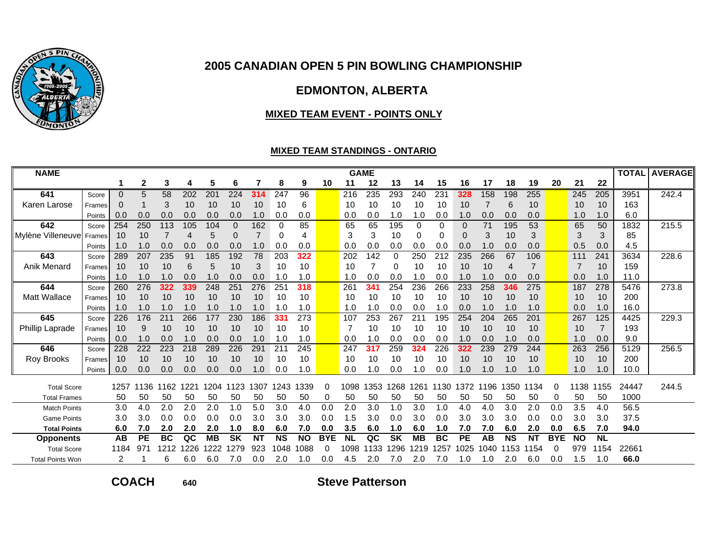

# **EDMONTON, ALBERTA**

#### **MIXED TEAM EVENT - POINTS ONLY**

### **MIXED TEAM STANDINGS - ONTARIO**

| <b>NAME</b>             |        |          |             |                 |      |                 |           |                |                 |           |            |           | <b>GAME</b> |           |           |     |           |      |           |                |            |           |           |       | <b>TOTAL AVERAGE</b> |
|-------------------------|--------|----------|-------------|-----------------|------|-----------------|-----------|----------------|-----------------|-----------|------------|-----------|-------------|-----------|-----------|-----|-----------|------|-----------|----------------|------------|-----------|-----------|-------|----------------------|
|                         |        |          | $\mathbf 2$ | 3               | 4    | 5               | 6         |                | 8               | 9         | 10         | 11        | 12          | 13        | 14        | 15  | 16        | 17   | 18        | 19             | 20         | 21        | 22        |       |                      |
| 641                     | Score  | $\Omega$ | 5           | $\overline{58}$ | 202  | 20 <sub>1</sub> | 224       | 314            | 247             | 96        |            | 216       | 235         | 293       | 240       | 231 | 328       | 158  | 198       | 255            |            | 245       | 205       | 3951  | 242.4                |
| Karen Larose            | Frames | 0        |             | 3               | 10   | 10              | 10        | 10             | 10              | 6         |            | 10        | 10          | 10        | 10        | 10  | 10        |      | 6         | 10             |            | 10        | 10        | 163   |                      |
|                         | Points | 0.0      | 0.0         | 0.0             | 0.0  | 0.0             | 0.0       | 1.0            | 0.0             | 0.0       |            | 0.0       | 0.0         | 1.0       | 1.0       | 0.0 | 1.0       | 0.0  | 0.0       | 0.0            |            | 1.0       | 1.0       | 6.0   |                      |
| 642                     | Score  | 254      | 250         | 113             | 105  | 104             | $\Omega$  | 162            | $\Omega$        | 85        |            | 65        | 65          | 195       | ∩         | 0   | $\Omega$  | 71   | 195       | 53             |            | 65        | 50        | 1832  | 215.5                |
| Mylène Villeneuve       | Frames | 10       | 10          |                 | 4    | 5               | 0         | $\overline{7}$ | 0               | 4         |            | 3         | 3           | 10        | 0         | 0   | $\Omega$  | 3    | 10        | 3              |            | 3         | 3         | 85    |                      |
|                         | Points | 1.0      | 1.0         | 0.0             | 0.0  | 0.0             | 0.0       | 1.0            | 0.0             | 0.0       |            | 0.0       | 0.0         | 0.0       | 0.0       | 0.0 | 0.0       | 1.0  | 0.0       | 0.0            |            | 0.5       | 0.0       | 4.5   |                      |
| 643                     | Score  | 289      | 207         | 235             | 91   | 185             | 192       | 78             | 203             | 322       |            | 202       | 142         | 0         | 250       | 212 | 235       | 266  | 67        | 106            |            | 111       | 241       | 3634  | 228.6                |
| <b>Anik Menard</b>      | Frames | 10       | 10          | 10              | 6    | 5               | 10        | 3              | 10              | 10        |            | 10        | 7           | 0         | 10        | 10  | 10        | 10   | 4         | $\overline{7}$ |            | 7         | 10        | 159   |                      |
|                         | Points | 1.0      | 1.0         | 1.0             | 0.0  | 1.0             | 0.0       | 0.0            | 1.0             | 1.0       |            | 1.0       | 0.0         | 0.0       | 1.0       | 0.0 | 1.0       | 1.0  | 0.0       | 0.0            |            | 0.0       | 1.0       | 11.0  |                      |
| 644                     | Score  | 260      | 276         | 322             | 339  | 248             | 25'       | 276            | 25 <sup>′</sup> | 318       |            | 261       | 341         | 254       | 236       | 266 | 233       | 258  | 346       | 275            |            | 187       | 278       | 5476  | 273.8                |
| Matt Wallace            | Frames | 10       | 10          | 10              | 10   | 10              | 10        | 10             | 10              | 10        |            | 10        | 10          | 10        | 10        | 10  | 10        | 10   | 10        | 10             |            | 10        | 10        | 200   |                      |
|                         | Points | 1.0      | 1.0         | 1.0             | 1.0  | 1.0             | 1.0       | 1.0            | 1.0             | 1.0       |            | 1.0       | 1.0         | 0.0       | 0.0       | 1.0 | 0.0       | 1.0  | 1.0       | 1.0            |            | 0.0       | 1.0       | 16.0  |                      |
| 645                     | Score  | 226      | 176         | 211             | 266  | 177             | 230       | 186            | 331             | 273       |            | 107       | 253         | 267       | 21'       | 195 | 254       | 204  | 265       | 201            |            | 267       | 125       | 4425  | 229.3                |
| <b>Phillip Laprade</b>  | Frames | 10       | 9           | 10              | 10   | 10              | 10        | 10             | 10              | 10        |            | 7         | 10          | 10        | 10        | 10  | 10        | 10   | 10        | 10             |            | 10        |           | 193   |                      |
|                         | Points | 0.0      | 1.0         | 0.0             | 1.0  | 0.0             | 0.0       | 1.0            | 1.0             | 1.0       |            | 0.0       | 1.0         | 0.0       | 0.0       | 0.0 | 1.0       | 0.0  | 1.0       | 0.0            |            | 1.0       | 0.0       | 9.0   |                      |
| 646                     | Score  | 228      | 222         | 223             | 218  | 289             | 226       | 291            | 21              | 245       |            | 247       | 317         | 259       | 324       | 226 | 322       | 239  | 279       | 244            |            | 263       | 256       | 5129  | 256.5                |
| <b>Roy Brooks</b>       | Frames | 10       | 10          | 10              | 10   | 10              | 10        | 10             | 10              | 10        |            | 10        | 10          | 10        | 10        | 10  | 10        | 10   | 10        | 10             |            | 10        | 10        | 200   |                      |
|                         | Points | 0.0      | 0.0         | 0.0             | 0.0  | 0.0             | 0.0       | .0             | 0.0             | 1.0       |            | 0.0       | 1.0         | 0.0       | 1.0       | 0.0 | 1.0       | 1.0  | 1.0       | 1.0            |            | 1.0       | 1.0       | 10.0  |                      |
| <b>Total Score</b>      |        | 1257     | 1136        | 1162            | 1221 | 1204            | 1123      | 1307           | 1243            | 339<br>1  | $\Omega$   | 1098      | 353         | 268       | 1261      | 130 | 1372      | 1196 | 1350      | 1134           | $\Omega$   | 1138      | 1155      | 24447 | 244.5                |
| <b>Total Frames</b>     |        | 50       | 50          | 50              | 50   | 50              | 50        | 50             | 50              | 50        | 0          | 50        | 50          | 50        | 50        | 50  | 50        | 50   | 50        | 50             | 0          | 50        | 50        | 1000  |                      |
| <b>Match Points</b>     |        | 3.0      | 4.0         | 2.0             | 2.0  | 2.0             | 1.0       | 5.0            | 3.0             | 4.0       | 0.0        | 2.0       | 3.0         | 1.0       | 3.0       | 1.0 | 4.0       | 4.0  | 3.0       | 2.0            | 0.0        | 3.5       | 4.0       | 56.5  |                      |
| <b>Game Points</b>      |        | 3.0      | 3.0         | 0.0             | 0.0  | 0.0             | 0.0       | 3.0            | 3.0             | 3.0       | 0.0        | 1.5       | 3.0         | 0.0       | 3.0       | 0.0 | 3.0       | 3.0  | 3.0       | 0.0            | 0.0        | 3.0       | 3.0       | 37.5  |                      |
| <b>Total Points</b>     |        | 6.0      | 7.0         | 2.0             | 2.0  | 2.0             | 1.0       | 8.0            | 6.0             | 7.0       | 0.0        | 3.5       | 6.0         | 1.0       | 6.0       | 1.0 | 7.0       | 7.0  | 6.0       | 2.0            | 0.0        | 6.5       | 7.0       | 94.0  |                      |
| <b>Opponents</b>        |        | AB       | <b>PE</b>   | <b>BC</b>       | QC   | <b>MB</b>       | <b>SK</b> | <b>NT</b>      | <b>NS</b>       | <b>NO</b> | <b>BYE</b> | <b>NL</b> | QC          | <b>SK</b> | <b>MB</b> | BC  | <b>PE</b> | AВ   | <b>NS</b> | <b>NT</b>      | <b>BYE</b> | <b>NO</b> | <b>NL</b> |       |                      |
| <b>Total Score</b>      |        | 1184     | 971         | 1212            | 226  | 222             | 1279      | 923            | 048             | 088       | $\Omega$   | 1098      | 133         | 296       | 1219      | 257 | 1025      | 1040 | 1153      | 1154           |            | 979       | 154       | 22661 |                      |
| <b>Total Points Won</b> |        |          |             | 6               | 6.0  | 6.0             | 7.0       | 0.0            | 2.0             | 1.0       | 0.0        | 4.5       | 2.0         | 7.0       | 2.0       | 7.0 | .0        | .0   | 2.0       | 6.0            | 0.0        | 1.5       | 1.0       | 66.0  |                      |

**COACH**

**<sup>640</sup> Steve Patterson**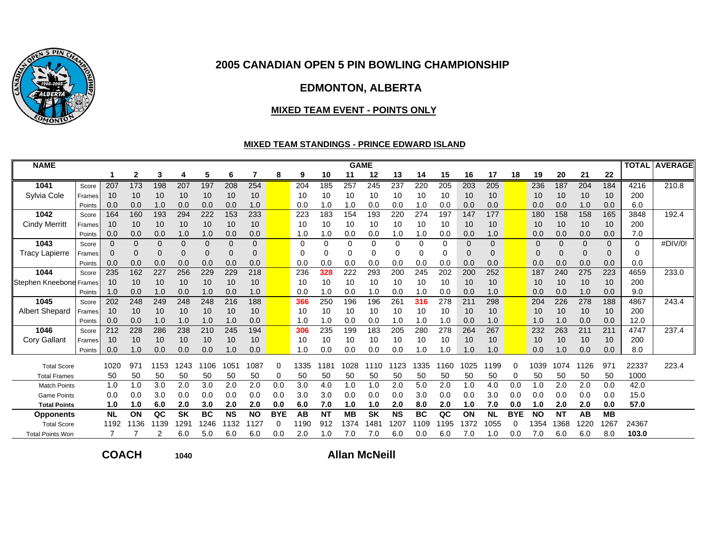

## **EDMONTON, ALBERTA**

#### **MIXED TEAM EVENT - POINTS ONLY**

#### **MIXED TEAM STANDINGS - PRINCE EDWARD ISLAND**

| <b>NAME</b>             |        |             |              |          |           |           |           |             |            |          |           |           | <b>GAME</b> |           |           |          |          |           |            |           |           |          |           | <b>TOTAL</b> | <b>AVERAGE</b> |
|-------------------------|--------|-------------|--------------|----------|-----------|-----------|-----------|-------------|------------|----------|-----------|-----------|-------------|-----------|-----------|----------|----------|-----------|------------|-----------|-----------|----------|-----------|--------------|----------------|
|                         |        |             | $\mathbf{2}$ | 3        |           | 5         | 6         | 7           | 8          | 9        | 10        | 11        | 12          | 13        | 14        | 15       | 16       | 17        | 18         | 19        | 20        | 21       | 22        |              |                |
| 1041                    | Score  | 207         | 173          | 198      | 207       | 197       | 208       | 254         |            | 204      | 185       | 257       | 245         | 237       | 220       | 205      | 203      | 205       |            | 236       | 187       | 204      | 184       | 4216         | 210.8          |
| Sylvia Cole             | Frames | 10          | 10           | 10       | 10        | 10        | 10        | 10          |            | 10       | 10        | 10        | 10          | 10        | 10        | 10       | 10       | 10        |            | 10        | 10        | 10       | 10        | 200          |                |
|                         | Points | 0.0         | 0.0          | 1.0      | 0.0       | 0.0       | 0.0       | 1.0         |            | 0.0      | 1.0       | 1.0       | 0.0         | 0.0       | 1.0       | 0.0      | 0.0      | 0.0       |            | 0.0       | 0.0       | 1.0      | 0.0       | 6.0          |                |
| 1042                    | Score  | 164         | 160          | 193      | 294       | 222       | 153       | 233         |            | 223      | 183       | 154       | 193         | 220       | 274       | 197      | 147      | 177       |            | 180       | 158       | 158      | 165       | 3848         | 192.4          |
| <b>Cindy Merritt</b>    | Frames | 10          | 10           | 10       | 10        | 10        | 10        | 10          |            | 10       | 10        | 10        | 10          | 10        | 10        | 10       | 10       | 10        |            | 10        | 10        | 10       | 10        | 200          |                |
|                         | Points | 0.0         | 0.0          | 0.0      | 1.0       | 1.0       | 0.0       | 0.0         |            | 1.0      | 1.0       | 0.0       | 0.0         | 1.0       | 1.0       | 0.0      | 0.0      | 1.0       |            | 0.0       | 0.0       | 0.0      | 0.0       | 7.0          |                |
| 1043                    | Score  | $\Omega$    | $\Omega$     | $\Omega$ | $\Omega$  | $\Omega$  | $\Omega$  | $\Omega$    |            | $\Omega$ | $\Omega$  | 0         | $\Omega$    | $\Omega$  | 0         | $\Omega$ | $\Omega$ | $\Omega$  |            | $\Omega$  | $\Omega$  | $\Omega$ | $\Omega$  | $\Omega$     | #DIV/0!        |
| <b>Tracy Lapierre</b>   | Frames | $\mathbf 0$ | $\Omega$     | 0        |           | 0         | 0         | $\mathbf 0$ |            | $\Omega$ | 0         |           | $\Omega$    | 0         |           | 0        | 0        | $\Omega$  |            | 0         | $\Omega$  | $\Omega$ | 0         |              |                |
|                         | Points | 0.0         | 0.0          | 0.0      | 0.0       | 0.0       | 0.0       | 0.0         |            | 0.0      | 0.0       | 0.0       | 0.0         | 0.0       | 0.0       | 0.0      | 0.0      | 0.0       |            | 0.0       | 0.0       | 0.0      | 0.0       | 0.0          |                |
| 1044                    | Score  | 235         | 162          | 227      | 256       | 229       | 229       | 218         |            | 236      | 328       | 222       | 293         | 200       | 245       | 202      | 200      | 252       |            | 187       | 240       | 275      | 223       | 4659         | 233.0          |
| Stephen Kneebone        | Frames | 10          | 10           | 10       | 10        | 10        | 10        | 10          |            | 10       | 10        | 10        | 10          | 10        | 10        | 10       | 10       | 10        |            | 10        | 10        | 10       | 10        | 200          |                |
|                         | Points | 1.0         | 0.0          | 1.0      | 0.0       | 1.0       | 0.0       | 1.0         |            | 0.0      | 1.0       | 0.0       | 1.0         | 0.0       | 1.0       | 0.0      | 0.0      | 1.0       |            | 0.0       | 0.0       | 1.0      | 0.0       | 9.0          |                |
| 1045                    | Score  | 202         | 248          | 249      | 248       | 248       | 216       | 188         |            | 366      | 250       | 196       | 196         | 261       | 316       | 278      | 211      | 298       |            | 204       | 226       | 278      | 188       | 4867         | 243.4          |
| <b>Albert Shepard</b>   | Frames | 10          | 10           | 10       | 10        | 10        | 10        | 10          |            | 10       | 10        | 10        | 10          | 10        | 10        | 10       | 10       | 10        |            | 10        | 10        | 10       | 10        | 200          |                |
|                         | Points | 0.0         | 0.0          | 1.0      | 1.0       | 1.0       | 1.0       | 0.0         |            | 1.0      | 1.0       | 0.0       | 0.0         | 1.0       | 1.0       | 1.0      | 0.0      | 1.0       |            | 1.0       | 1.0       | 0.0      | 0.0       | 12.0         |                |
| 1046                    | Score  | 212         | 228          | 286      | 238       | 210       | 245       | 194         |            | 306      | 235       | 199       | 183         | 205       | 280       | 278      | 264      | 267       |            | 232       | 263       | 211      | 211       | 4747         | 237.4          |
| <b>Cory Gallant</b>     | Frames | 10          | 10           | 10       | 10        | 10        | 10        | 10          |            | 10       | 10        | 10        | 10          | 10        | 10        | 10       | 10       | 10        |            | 10        | 10        | 10       | 10        | 200          |                |
|                         | Points | 0.0         | 1.0          | 0.0      | 0.0       | 0.0       | 1.0       | 0.0         |            | 1.0      | 0.0       | 0.0       | 0.0         | 0.0       | 1.0       | 1.0      | 1.0      | 1.0       |            | 0.0       | 1.0       | 0.0      | 0.0       | 8.0          |                |
| <b>Total Score</b>      |        | 1020        | 971          | 1153     | 1243      | 1106      | 051       | 1087        | 0          | 1335     | 1181      | 028       | 1110        | 1123      | 1335      | 1160     | 1025     | 1199      | $\Omega$   | 1039      | 1074      | 1126     | 971       | 22337        | 223.4          |
| <b>Total Frames</b>     |        | 50          | 50           | 50       | 50        | 50        | 50        | 50          | 0          | 50       | 50        | 50        | 50          | 50        | 50        | 50       | 50       | 50        | 0          | 50        | 50        | 50       | 50        | 1000         |                |
| <b>Match Points</b>     |        | 1.0         | 1.0          | 3.0      | 2.0       | 3.0       | 2.0       | 2.0         | 0.0        | 3.0      | 4.0       | 1.0       | 1.0         | 2.0       | 5.0       | 2.0      | 1.0      | 4.0       | 0.0        | 1.0       | 2.0       | 2.0      | 0.0       | 42.0         |                |
| <b>Game Points</b>      |        | 0.0         | 0.0          | 3.0      | 0.0       | 0.0       | 0.0       | 0.0         | 0.0        | 3.0      | 3.0       | 0.0       | 0.0         | 0.0       | 3.0       | 0.0      | 0.0      | 3.0       | 0.0        | 0.0       | 0.0       | 0.0      | 0.0       | 15.0         |                |
| <b>Total Points</b>     |        | 1.0         | 1.0          | 6.0      | 2.0       | 3.0       | 2.0       | 2.0         | 0.0        | 6.0      | 7.0       | 1.0       | 1.0         | 2.0       | 8.0       | 2.0      | 1.0      | 7.0       | 0.0        | 1.0       | 2.0       | 2.0      | 0.0       | 57.0         |                |
| <b>Opponents</b>        |        | <b>NL</b>   | ON           | QC       | <b>SK</b> | <b>BC</b> | <b>NS</b> | <b>NO</b>   | <b>BYE</b> | AB       | <b>NT</b> | <b>MB</b> | <b>SK</b>   | <b>NS</b> | <b>BC</b> | QC       | ON       | <b>NL</b> | <b>BYE</b> | <b>NO</b> | <b>NT</b> | AB       | <b>MB</b> |              |                |
| <b>Total Score</b>      |        | 1192        | 1136         | 1139     | I29       | 1246      | 132       | 112.        | $\Omega$   | 1190     | 912       | 374       | 1481        | 1207      | 1109      | 1195     | 1372     | 1055      | $\Omega$   | 1354      | 1368      | 1220     | 1267      | 24367        |                |
| <b>Total Points Won</b> |        |             |              | 2        | 6.0       | 5.0       | 6.0       | 6.0         | 0.0        | 2.0      | 1.0       | 7.0       | 7.0         | 6.0       | 0.0       | 6.0      | 7.0      | 1.0       | 0.0        | 7.0       | 6.0       | 6.0      | 8.0       | 103.0        |                |

**COACH**

**<sup>1040</sup> Allan McNeill**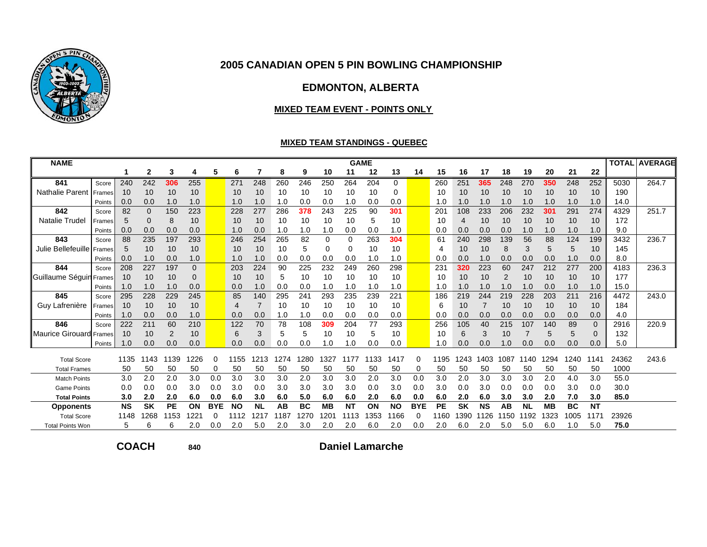

## **EDMONTON, ALBERTA**

#### **MIXED TEAM EVENT - POINTS ONLY**

#### **MIXED TEAM STANDINGS - QUEBEC**

| <b>NAME</b>             |        |           |           |      |              |            |           |                |      |           |                  |           | <b>GAME</b> |           |            |      |           |           |                |           |           |           |              | <b>TOTAL</b> | <b>AVERAGE</b> |
|-------------------------|--------|-----------|-----------|------|--------------|------------|-----------|----------------|------|-----------|------------------|-----------|-------------|-----------|------------|------|-----------|-----------|----------------|-----------|-----------|-----------|--------------|--------------|----------------|
|                         |        |           | 2         | 3    | 4            | 5          | 6         | 7              | 8    | 9         | 10               | 11        | 12          | 13        | 14         | 15   | 16        | 17        | 18             | 19        | 20        | 21        | 22           |              |                |
| 841                     | Score  | 240       | 242       | 306  | 255          |            | 271       | 248            | 260  | 246       | 250              | 264       | 204         | 0         |            | 260  | 251       | 365       | 248            | 270       | 350       | 248       | 252          | 5030         | 264.7          |
| <b>Nathalie Parent</b>  | Frames | 10        | 10        | 10   | 10           |            | 10        | 10             | 10   | 10        | 10               | 10        | 10          | 0         |            | 10   | 10        | 10        | 10             | 10        | 10        | 10        | 10           | 190          |                |
|                         | Points | 0.0       | 0.0       | 1.0  | 1.0          |            | 1.0       | 1.0            | 1.0  | 0.0       | 0.0              | 1.0       | 0.0         | 0.0       |            | 1.0  | 1.0       | 1.0       | 1.0            | 1.0       | 1.0       | 1.0       | 1.0          | 14.0         |                |
| 842                     | Score  | 82        | $\Omega$  | 150  | 223          |            | 228       | 277            | 286  | 378       | 243              | 225       | 90          | 301       |            | 201  | 108       | 233       | 206            | 232       | 301       | 291       | 274          | 4329         | 251.7          |
| <b>Natalie Trudel</b>   | Frames | 5         |           | 8    | 10           |            | 10        | 10             | 10   | 10        | 10               | 10        | 5           | 10        |            | 10   | 4         | 10        | 10             | 10        | 10        | 10        | 10           | 172          |                |
|                         | Points | 0.0       | 0.0       | 0.0  | 0.0          |            | 1.0       | 0.0            | 1.0  | 1.0       | 1.0              | 0.0       | 0.0         | 1.0       |            | 0.0  | 0.0       | 0.0       | 0.0            | 1.0       | 1.0       | 1.0       | 1.0          | 9.0          |                |
| 843                     | Score  | 88        | 235       | 197  | 293          |            | 246       | 254            | 265  | 82        | 0                | 0         | 263         | 304       |            | 61   | 240       | 298       | 139            | 56        | 88        | 124       | 199          | 3432         | 236.7          |
| Julie Bellefeuille      | Frames | 5         | 10        | 10   | 10           |            | 10        | 10             | 10   | 5         | 0                | 0         | 10          | 10        |            | 4    | 10        | 10        | 8              | 3         | 5         | 5         | 10           | 145          |                |
|                         | Points | 0.0       | 1.0       | 0.0  | 1.0          |            | 1.0       | 1.0            | 0.0  | 0.0       | 0.0              | 0.0       | 1.0         | 1.0       |            | 0.0  | 0.0       | 1.0       | 0.0            | 0.0       | 0.0       | 1.0       | 0.0          | 8.0          |                |
| 844                     | Score  | 208       | 227       | 197  | 0            |            | 203       | 224            | 90   | 225       | 232              | 249       | 260         | 298       |            | 231  | 320       | 223       | 60             | 247       | 212       | 277       | 200          | 4183         | 236.3          |
| Guillaume Séguin        | Frames | 10        | 10        | 10   | 0            |            | 10        | 10             | 5    | 10        | 10               | 10        | 10          | 10        |            | 10   | 10        | 10        | $\overline{2}$ | 10        | 10        | 10        | 10           | 177          |                |
|                         | Points | 1.0       | 1.0       | 1.0  | 0.0          |            | 0.0       | 1.0            | 0.0  | 0.0       | 1.0              | 1.0       | 1.0         | 1.0       |            | 1.0  | 1.0       | 1.0       | 1.0            | 1.0       | 0.0       | 1.0       | 1.0          | 15.0         |                |
| 845                     | Score  | 295       | 228       | 229  | 245          |            | 85        | 140            | 295  | 241       | 293              | 235       | 239         | 221       |            | 186  | 219       | 244       | 219            | 228       | 203       | 211       | 216          | 4472         | 243.0          |
| Guy Lafrenière          | Frames | 10        | 10        | 10   | 10           |            | 4         | $\overline{7}$ | 10   | 10        | 10               | 10        | 10          | 10        |            | 6    | 10        |           | 10             | 10        | 10        | 10        | 10           | 184          |                |
|                         | Points | 1.0       | 0.0       | 0.0  | 1.0          |            | 0.0       | 0.0            | 1.0  | 1.0       | 0.0              | 0.0       | 0.0         | 0.0       |            | 0.0  | 0.0       | 0.0       | 0.0            | 0.0       | 0.0       | 0.0       | 0.0          | 4.0          |                |
| 846                     | Score  | 222       | 211       | 60   | 210          |            | 122       | 70             | 78   | 108       | 309              | 204       | 77          | 293       |            | 256  | 105       | 40        | 215            | 107       | 140       | 89        | $\mathbf{0}$ | 2916         | 220.9          |
| Maurice Girouard        | Frames | 10        | 10        | 2    | 10           |            | 6         | 3              | 5    | 5         | 10               | 10        | 5           | 10        |            | 10   | 6         | 3         | 10             |           | 5         | 5         | $\mathbf 0$  | 132          |                |
|                         | Points | 1.0       | 0.0       | 0.0  | 0.0          |            | 0.0       | 0.0            | 0.0  | 0.0       | 1.0              | 1.0       | 0.0         | 0.0       |            | 1.0  | 0.0       | 0.0       | 1.0            | 0.0       | 0.0       | 0.0       | 0.0          | 5.0          |                |
| <b>Total Score</b>      |        | 1135      | 143       | 1139 | 226          | 0          | 1155      | 1213           | 1274 | 280       | 1327             | 177       | 1133        | 1417      |            | 1195 | 1243      | 1403      | 1087           | 140       | 1294      | 1240      | 1141         | 24362        | 243.6          |
| <b>Total Frames</b>     |        | 50        | 50        | 50   | 50           | 0          | 50        | 50             | 50   | 50        | 50               | 50        | 50          | 50        |            | 50   | 50        | 50        | 50             | 50        | 50        | 50        | 50           | 1000         |                |
| <b>Match Points</b>     |        | 3.0       | 2.0       | 2.0  | 3.0          | 0.0        | 3.0       | 3.0            | 3.0  | 2.0       | 3.0              | 3.0       | 2.0         | 3.0       | 0.0        | 3.0  | 2.0       | 3.0       | 3.0            | 3.0       | 2.0       | 4.0       | 3.0          | 55.0         |                |
| <b>Game Points</b>      |        | 0.0       | 0.0       | 0.0  | 3.0          | 0.0        | 3.0       | 0.0            | 3.0  | 3.0       | 3.0              | 3.0       | 0.0         | 3.0       | 0.0        | 3.0  | 0.0       | 3.0       | 0.0            | 0.0       | 0.0       | 3.0       | 0.0          | 30.0         |                |
| <b>Total Points</b>     |        | 3.0       | 2.0       | 2.0  | 6.0          | 0.0        | 6.0       | 3.0            | 6.0  | 5.0       | 6.0              | 6.0       | 2.0         | 6.0       | 0.0        | 6.0  | 2.0       | 6.0       | 3.0            | 3.0       | 2.0       | 7.0       | 3.0          | 85.0         |                |
| <b>Opponents</b>        |        | <b>NS</b> | <b>SK</b> | PE   | ON           | <b>BYE</b> | <b>NO</b> | <b>NL</b>      | AB   | <b>BC</b> | <b>MB</b>        | <b>NT</b> | ON          | <b>NO</b> | <b>BYE</b> | PE   | <b>SK</b> | <b>NS</b> | AB             | <b>NL</b> | <b>MB</b> | <b>BC</b> | <b>NT</b>    |              |                |
| <b>Total Score</b>      |        | 1148      | 1268      | 1153 | $22^{\circ}$ | 0          | 1112      | 1217           | 1187 | 270       | 120 <sup>-</sup> | 1113      | 1353        | 166       |            | 1160 | 1390      | 126       | 1150           | 192       | 1323      | 1005      | 117′         | 23926        |                |
| <b>Total Points Won</b> |        | 5         |           | 6    | 2.0          | 0.0        | 2.0       | 5.0            | 2.0  | 3.0       | 2.0              | 2.0       | 6.0         | 2.0       | 0.0        | 2.0  | 6.0       | 2.0       | 5.0            | 5.0       | 6.0       | 1.0       | 5.0          | 75.0         |                |

**COACH**

**<sup>840</sup> Daniel Lamarche**